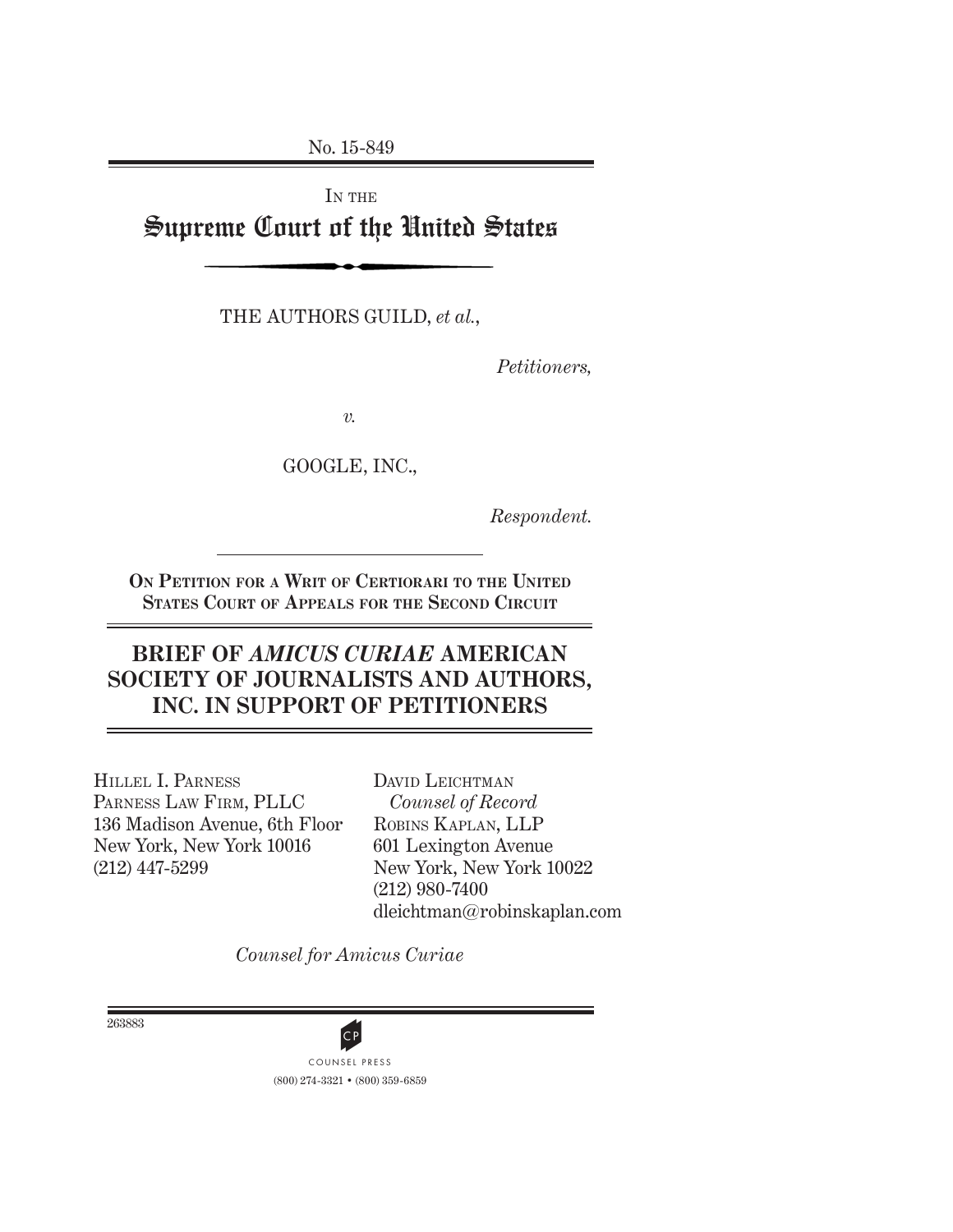No. 15-849

IN THE Supreme Court of the United States

THE AUTHORS GUILD, *et al.*,

*Petitioners,*

*v.*

GOOGLE, INC.,

*Respondent.*

**On Petition for a Writ of Certiorari to the United States Court of Appeals for the Second Circuit**

## **BRIEF OF** *AMICUS CURIAE* **AMERICAN SOCIETY OF JOURNALISTS AND AUTHORS, INC. IN SUPPORT OF PETITIONERS**

Hillel I. Parness Parness Law Firm, PLLC 136 Madison Avenue, 6th Floor New York, New York 10016 (212) 447-5299

DAVID LEICHTMAN *Counsel of Record* Robins Kaplan, LLP 601 Lexington Avenue New York, New York 10022 (212) 980-7400 dleichtman@robinskaplan.com

*Counsel for Amicus Curiae*

263883

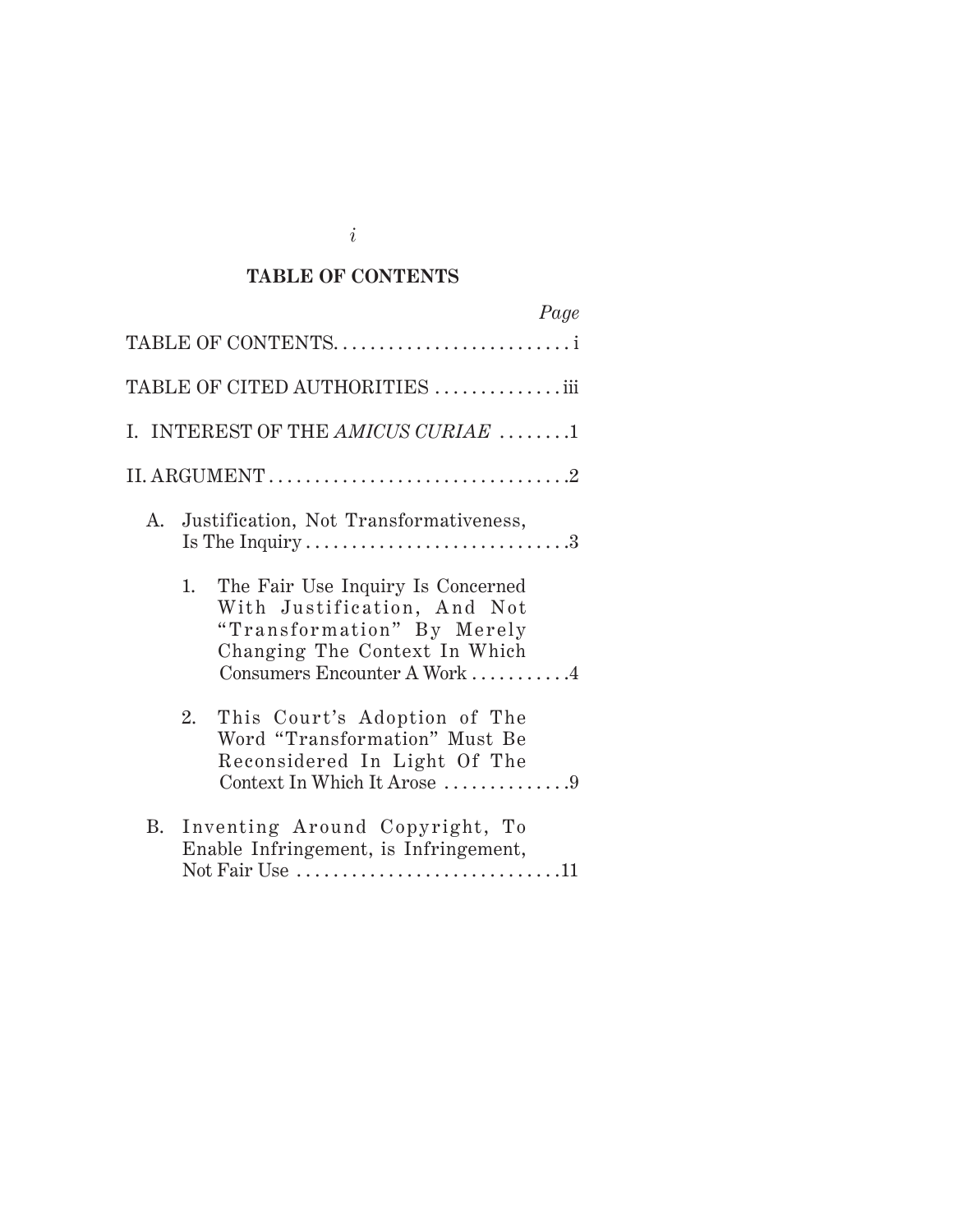### **TABLE OF CONTENTS**

| Page                                                                                                                                                                  |
|-----------------------------------------------------------------------------------------------------------------------------------------------------------------------|
| TABLE OF CONTENTS                                                                                                                                                     |
| TABLE OF CITED AUTHORITIES iii                                                                                                                                        |
| I. INTEREST OF THE AMICUS CURIAE 1                                                                                                                                    |
|                                                                                                                                                                       |
| A. Justification, Not Transformativeness,                                                                                                                             |
| The Fair Use Inquiry Is Concerned<br>1.<br>With Justification, And Not<br>"Transformation" By Merely<br>Changing The Context In Which<br>Consumers Encounter A Work 4 |
| This Court's Adoption of The<br>2.<br>Word "Transformation" Must Be<br>Reconsidered In Light Of The<br>Context In Which It Arose 9                                    |
| Inventing Around Copyright, To<br>B.<br>Enable Infringement, is Infringement,<br>Not Fair Use 11                                                                      |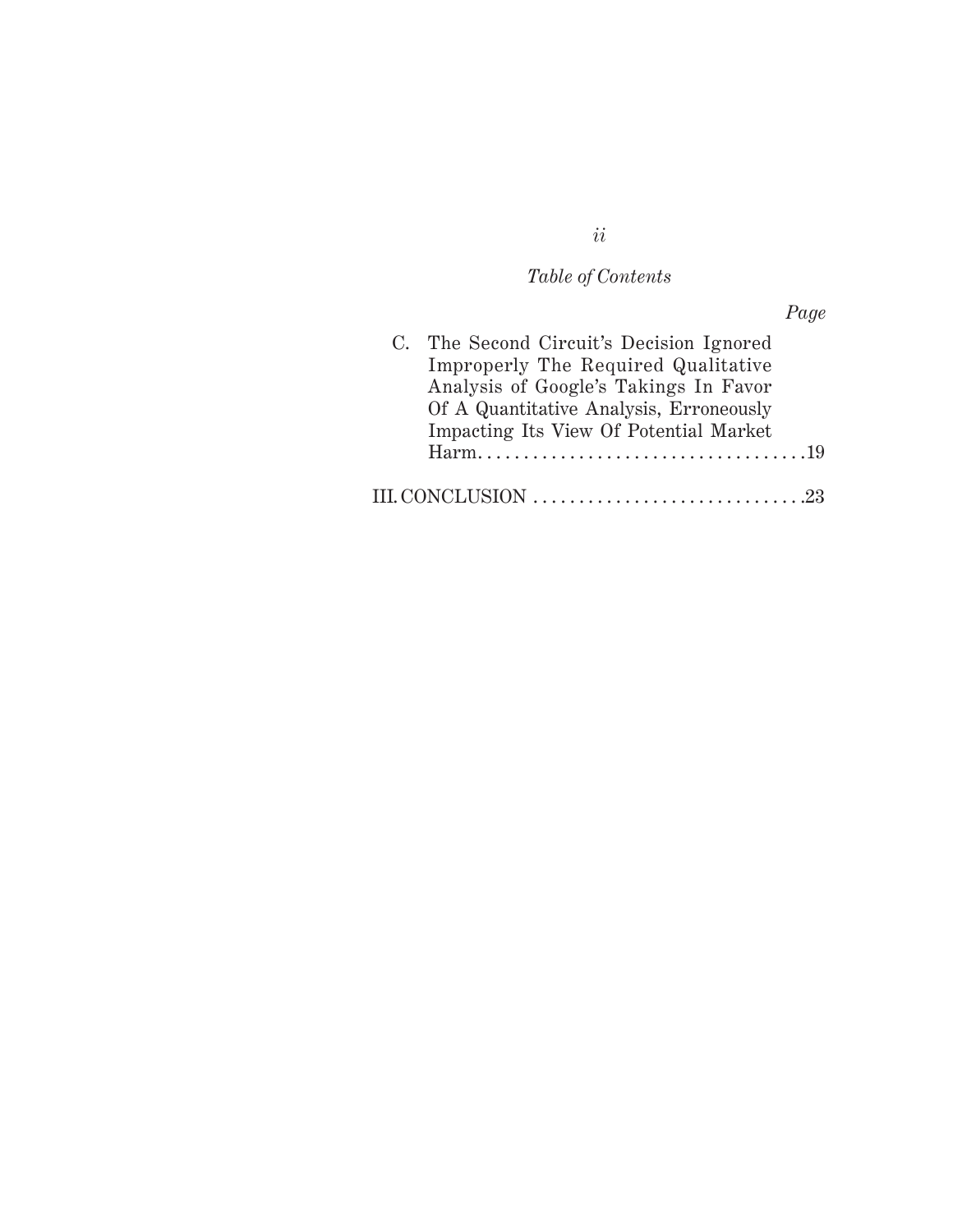*Table of Contents*

| C. The Second Circuit's Decision Ignored<br>Improperly The Required Qualitative                                            |  |
|----------------------------------------------------------------------------------------------------------------------------|--|
| Analysis of Google's Takings In Favor<br>Of A Quantitative Analysis, Erroneously<br>Impacting Its View Of Potential Market |  |
| Harm                                                                                                                       |  |
| <b>III. CONCLUSION.</b>                                                                                                    |  |

# *ii*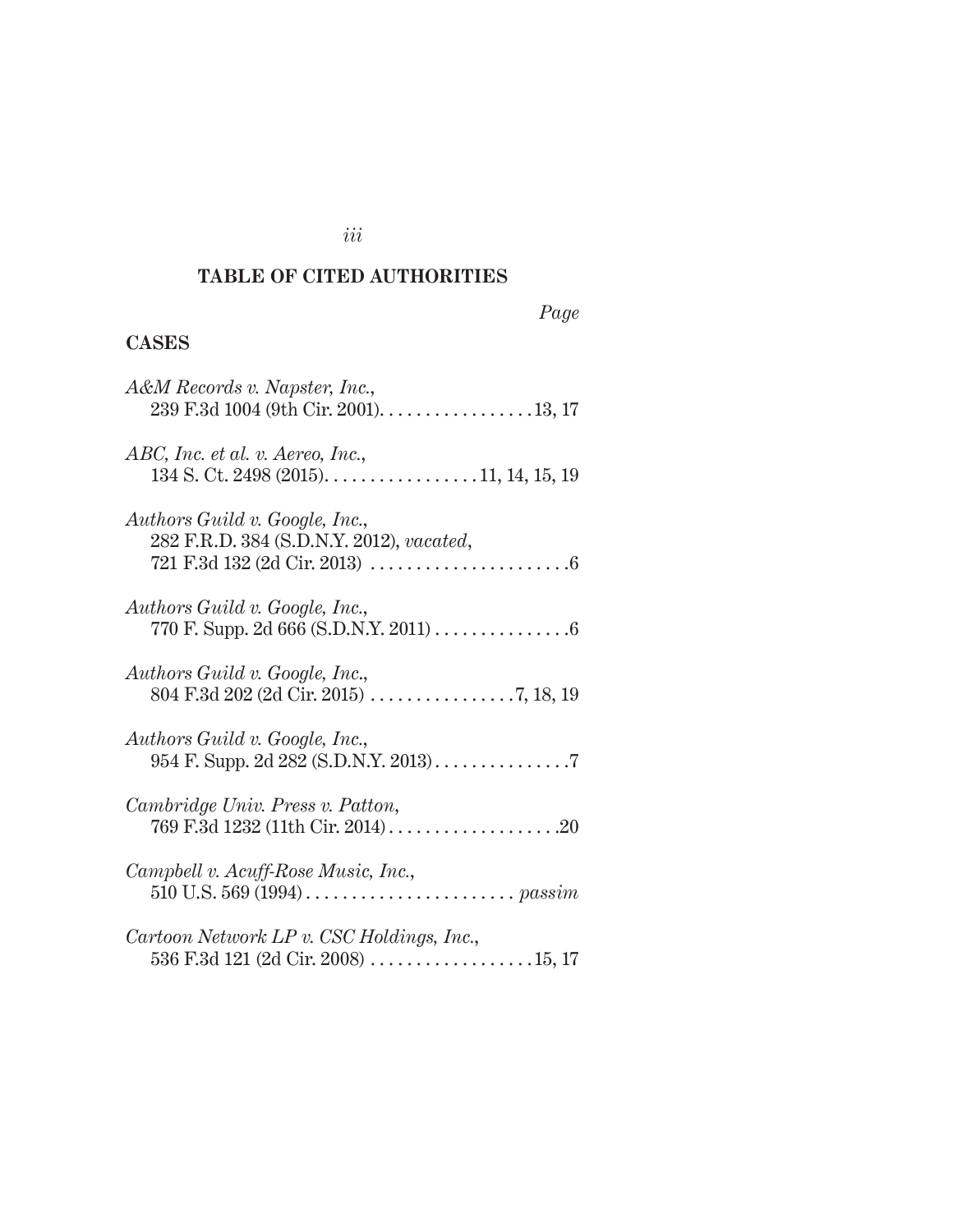### **TABLE OF CITED AUTHORITIES**

*Page*

### **CASES**

| A&M Records v. Napster, Inc.,                                                                      |
|----------------------------------------------------------------------------------------------------|
| ABC, Inc. et al. v. Aereo, Inc.,<br>$134$ S. Ct. 2498 (2015). $\dots$ . $\dots$ . $11, 14, 15, 19$ |
| Authors Guild v. Google, Inc.,<br>282 F.R.D. 384 (S.D.N.Y. 2012), vacated,                         |
| Authors Guild v. Google, Inc.,                                                                     |
| Authors Guild v. Google, Inc.,                                                                     |
| Authors Guild v. Google, Inc.,                                                                     |
| Cambridge Univ. Press v. Patton,                                                                   |
| Campbell v. Acuff-Rose Music, Inc.,                                                                |
| Cartoon Network LP v. CSC Holdings, Inc.,                                                          |

### *iii*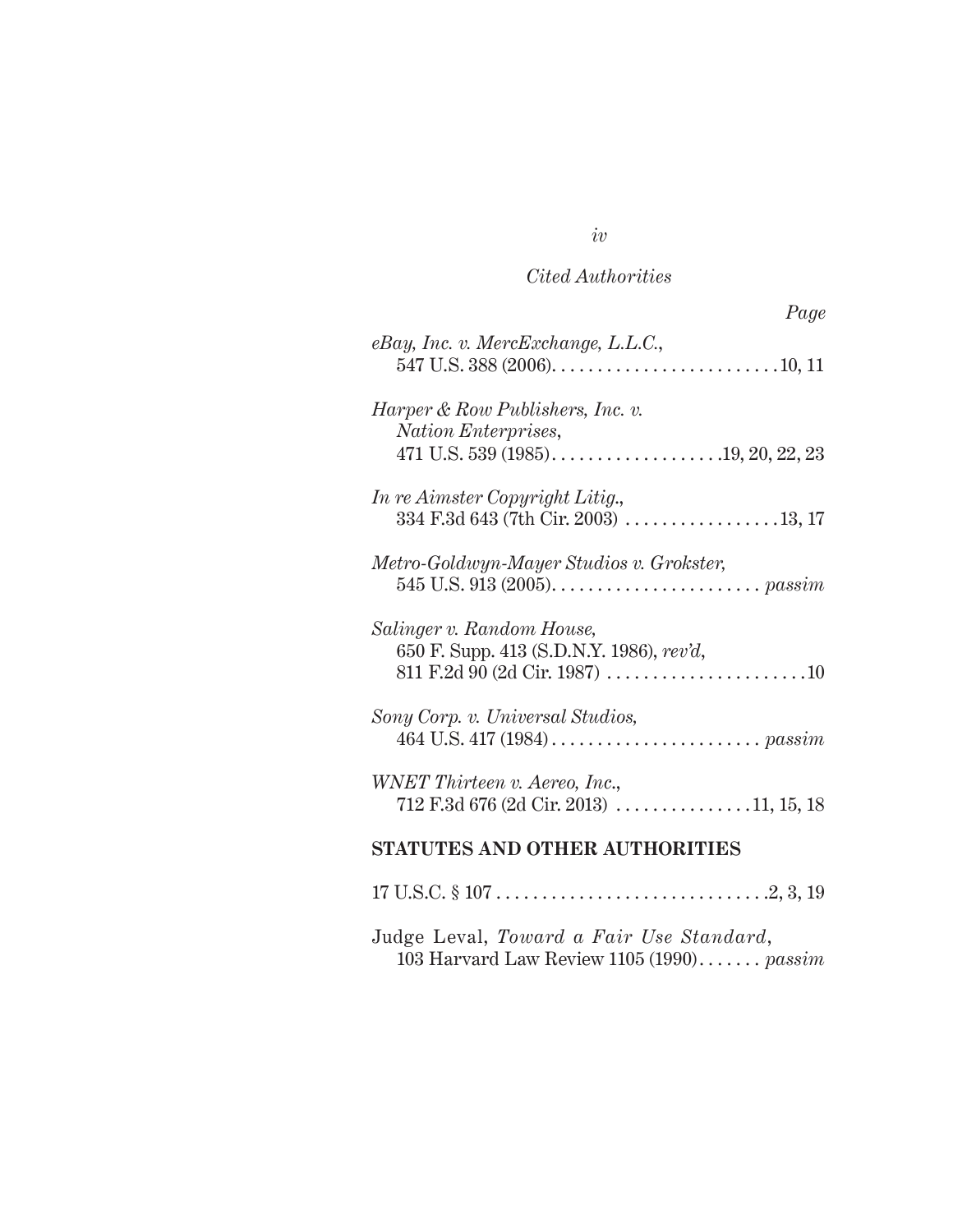### *Cited Authorities*

*iv*

| eBay, Inc. v. MercExchange, L.L.C.,                                                                                               |
|-----------------------------------------------------------------------------------------------------------------------------------|
| Harper & Row Publishers, Inc. v.<br>Nation Enterprises,<br>471 U.S. 539 (1985). $\ldots$ . $\ldots$ . $\ldots$ . $19, 20, 22, 23$ |
| In re Aimster Copyright Litig.,                                                                                                   |
| Metro-Goldwyn-Mayer Studios v. Grokster,                                                                                          |
| Salinger v. Random House,<br>650 F. Supp. 413 (S.D.N.Y. 1986), rev'd,<br>811 F.2d 90 (2d Cir. 1987) 10                            |
| Sony Corp. v. Universal Studios,                                                                                                  |
| WNET Thirteen v. Aereo, Inc.,<br>$712$ F.3d 676 (2d Cir. 2013) 11, 15, 18                                                         |
| <b>STATUTES AND OTHER AUTHORITIES</b>                                                                                             |
|                                                                                                                                   |

Judge Leval, *Toward a Fair Use Standard*, 103 Harvard Law Review 1105 (1990) . . *passim*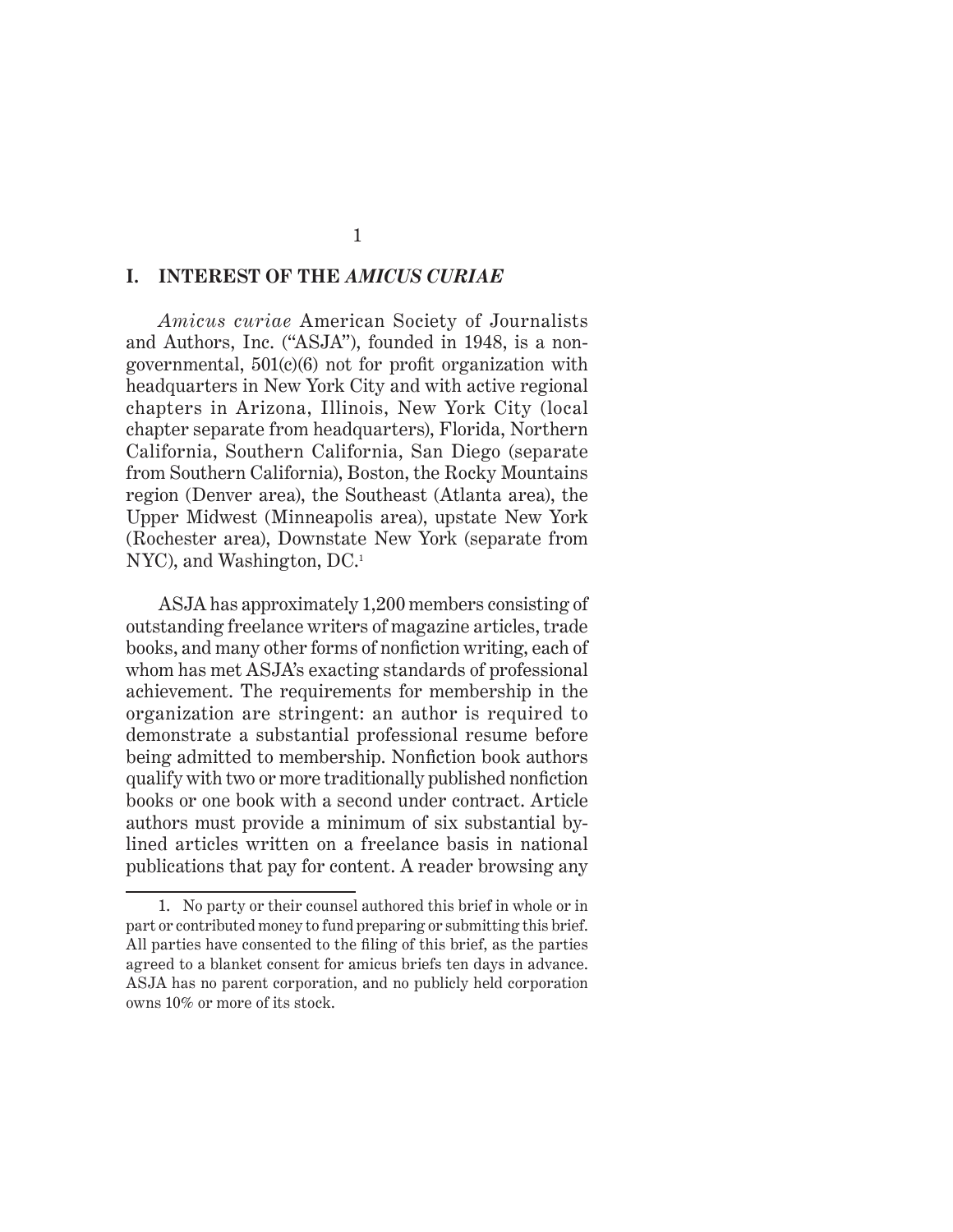#### **I. INTEREST OF THE** *AMICUS CURIAE*

*Amicus curiae* American Society of Journalists and Authors, Inc. ("ASJA"), founded in 1948, is a nongovernmental, 501(c)(6) not for profit organization with headquarters in New York City and with active regional chapters in Arizona, Illinois, New York City (local chapter separate from headquarters), Florida, Northern California, Southern California, San Diego (separate from Southern California), Boston, the Rocky Mountains region (Denver area), the Southeast (Atlanta area), the Upper Midwest (Minneapolis area), upstate New York (Rochester area), Downstate New York (separate from NYC), and Washington, DC.<sup>1</sup>

ASJA has approximately 1,200 members consisting of outstanding freelance writers of magazine articles, trade books, and many other forms of nonfiction writing, each of whom has met ASJA's exacting standards of professional achievement. The requirements for membership in the organization are stringent: an author is required to demonstrate a substantial professional resume before being admitted to membership. Nonfiction book authors qualify with two or more traditionally published nonfiction books or one book with a second under contract. Article authors must provide a minimum of six substantial bylined articles written on a freelance basis in national publications that pay for content. A reader browsing any

<sup>1.</sup> No party or their counsel authored this brief in whole or in part or contributed money to fund preparing or submitting this brief. All parties have consented to the filing of this brief, as the parties agreed to a blanket consent for amicus briefs ten days in advance. ASJA has no parent corporation, and no publicly held corporation owns 10% or more of its stock.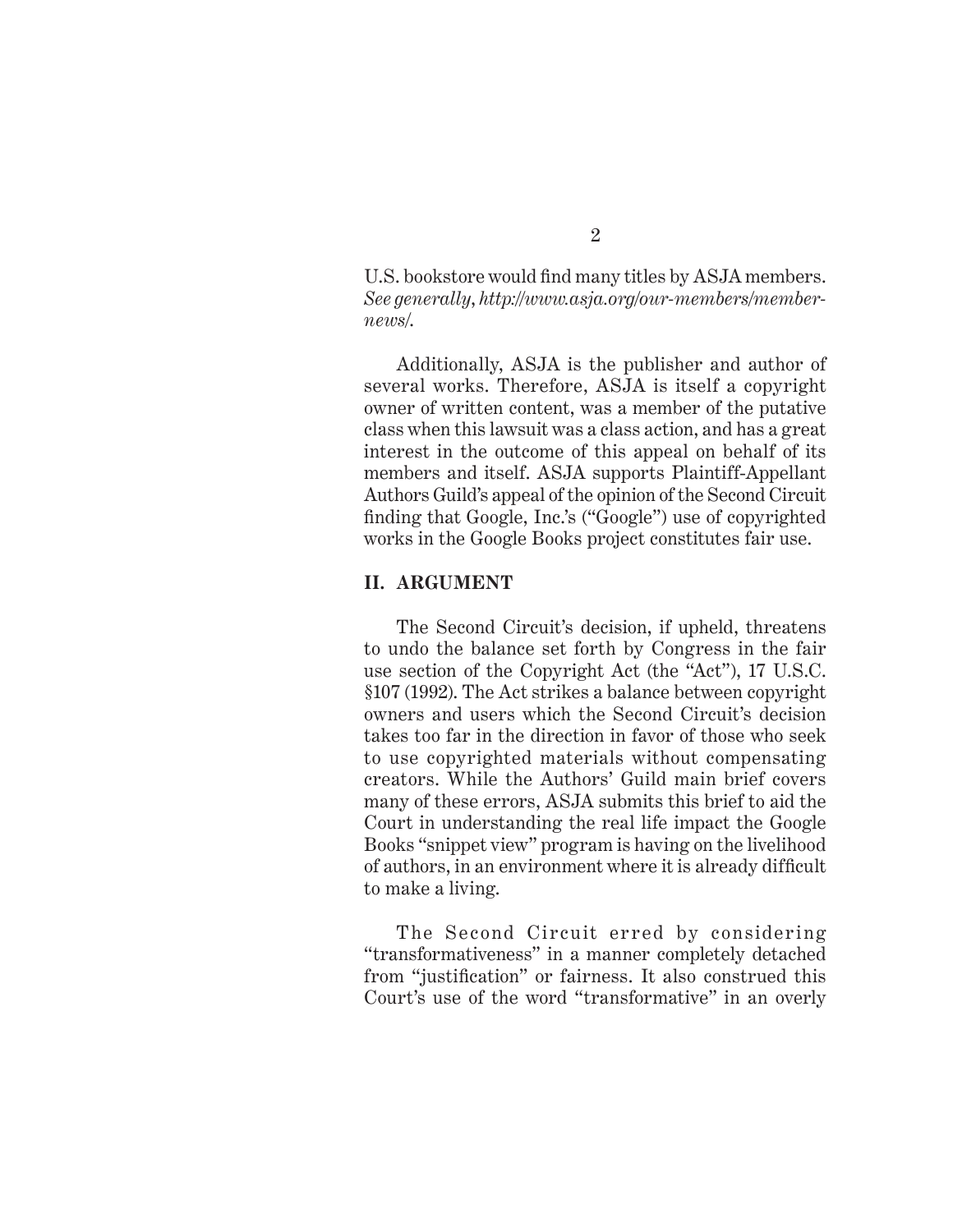U.S. bookstore would find many titles by ASJA members. *See generally*, *http://www.asja.org/our-members/membernews/*.

Additionally, ASJA is the publisher and author of several works. Therefore, ASJA is itself a copyright owner of written content, was a member of the putative class when this lawsuit was a class action, and has a great interest in the outcome of this appeal on behalf of its members and itself. ASJA supports Plaintiff-Appellant Authors Guild's appeal of the opinion of the Second Circuit finding that Google, Inc.'s ("Google") use of copyrighted works in the Google Books project constitutes fair use.

#### **II. ARGUMENT**

The Second Circuit's decision, if upheld, threatens to undo the balance set forth by Congress in the fair use section of the Copyright Act (the "Act"), 17 U.S.C. §107 (1992). The Act strikes a balance between copyright owners and users which the Second Circuit's decision takes too far in the direction in favor of those who seek to use copyrighted materials without compensating creators. While the Authors' Guild main brief covers many of these errors, ASJA submits this brief to aid the Court in understanding the real life impact the Google Books "snippet view" program is having on the livelihood of authors, in an environment where it is already difficult to make a living.

The Second Circuit erred by considering "transformativeness" in a manner completely detached from "justification" or fairness. It also construed this Court's use of the word "transformative" in an overly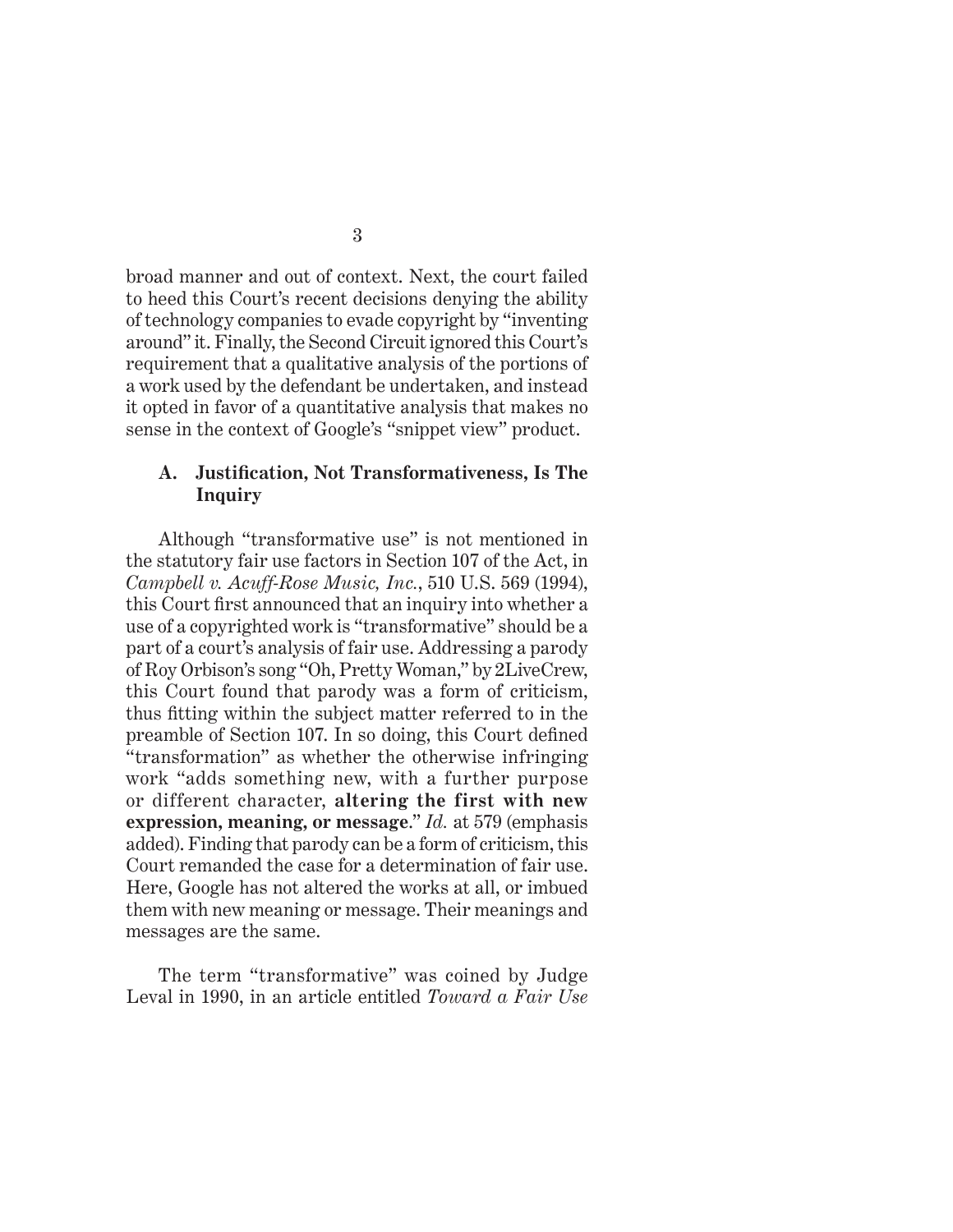broad manner and out of context. Next, the court failed to heed this Court's recent decisions denying the ability of technology companies to evade copyright by "inventing around" it. Finally, the Second Circuit ignored this Court's requirement that a qualitative analysis of the portions of a work used by the defendant be undertaken, and instead it opted in favor of a quantitative analysis that makes no sense in the context of Google's "snippet view" product.

#### **A. Justification, Not Transformativeness, Is The Inquiry**

Although "transformative use" is not mentioned in the statutory fair use factors in Section 107 of the Act, in *Campbell v. Acuff-Rose Music, Inc.*, 510 U.S. 569 (1994), this Court first announced that an inquiry into whether a use of a copyrighted work is "transformative" should be a part of a court's analysis of fair use. Addressing a parody of Roy Orbison's song "Oh, Pretty Woman," by 2LiveCrew, this Court found that parody was a form of criticism, thus fitting within the subject matter referred to in the preamble of Section 107. In so doing, this Court defined "transformation" as whether the otherwise infringing work "adds something new, with a further purpose or different character, **altering the first with new expression, meaning, or message**." *Id.* at 579 (emphasis added). Finding that parody can be a form of criticism, this Court remanded the case for a determination of fair use. Here, Google has not altered the works at all, or imbued them with new meaning or message. Their meanings and messages are the same.

The term "transformative" was coined by Judge Leval in 1990, in an article entitled *Toward a Fair Use*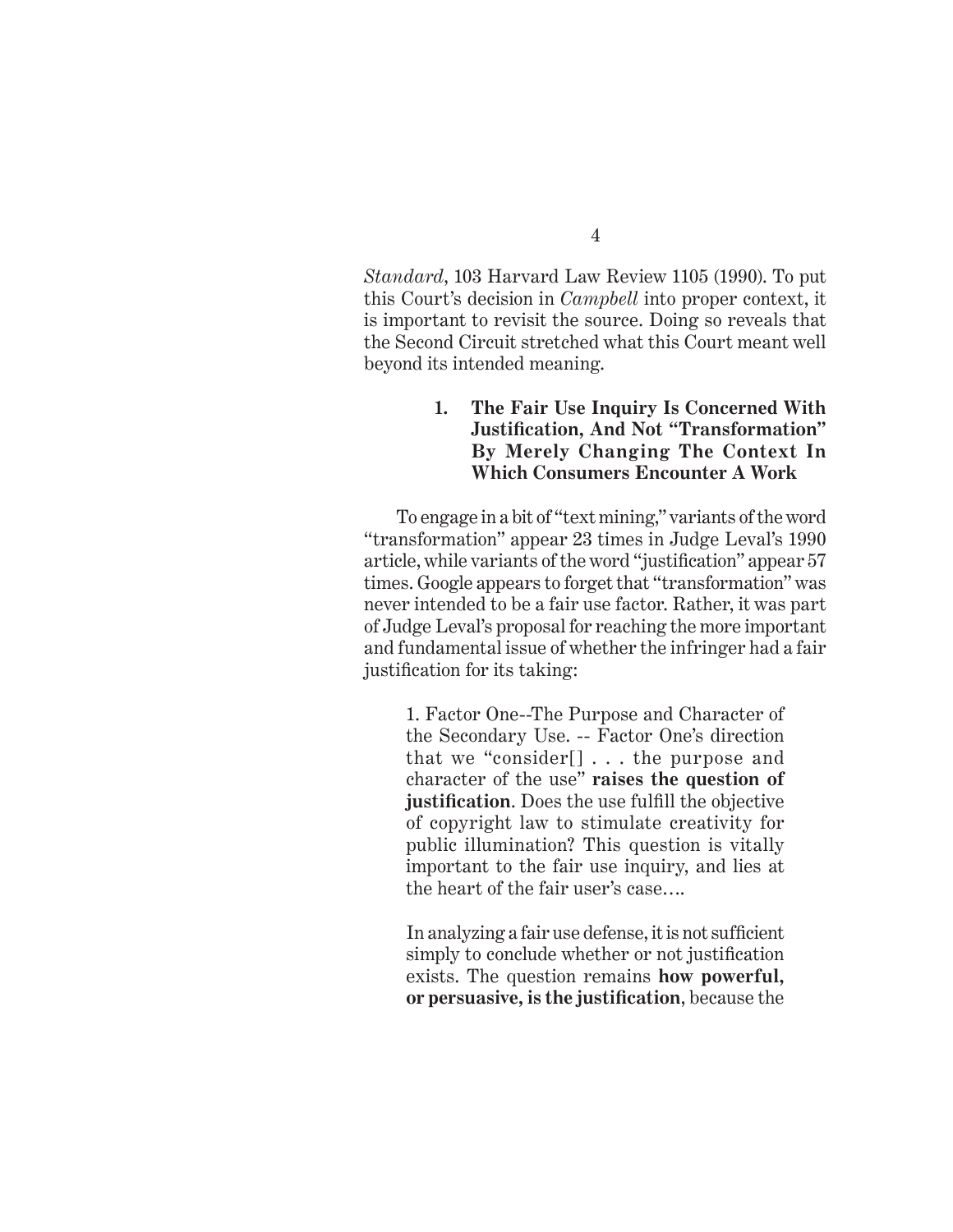*Standard*, 103 Harvard Law Review 1105 (1990). To put this Court's decision in *Campbell* into proper context, it is important to revisit the source. Doing so reveals that the Second Circuit stretched what this Court meant well beyond its intended meaning.

#### **1. The Fair Use Inquiry Is Concerned With Justification, And Not "Transformation" By Merely Changing The Context In Which Consumers Encounter A Work**

To engage in a bit of "text mining," variants of the word "transformation" appear 23 times in Judge Leval's 1990 article, while variants of the word "justification" appear 57 times. Google appears to forget that "transformation" was never intended to be a fair use factor. Rather, it was part of Judge Leval's proposal for reaching the more important and fundamental issue of whether the infringer had a fair justification for its taking:

1. Factor One--The Purpose and Character of the Secondary Use. -- Factor One's direction that we "consider[] . . . the purpose and character of the use" **raises the question of justification**. Does the use fulfill the objective of copyright law to stimulate creativity for public illumination? This question is vitally important to the fair use inquiry, and lies at the heart of the fair user's case….

In analyzing a fair use defense, it is not sufficient simply to conclude whether or not justification exists. The question remains **how powerful, or persuasive, is the justification**, because the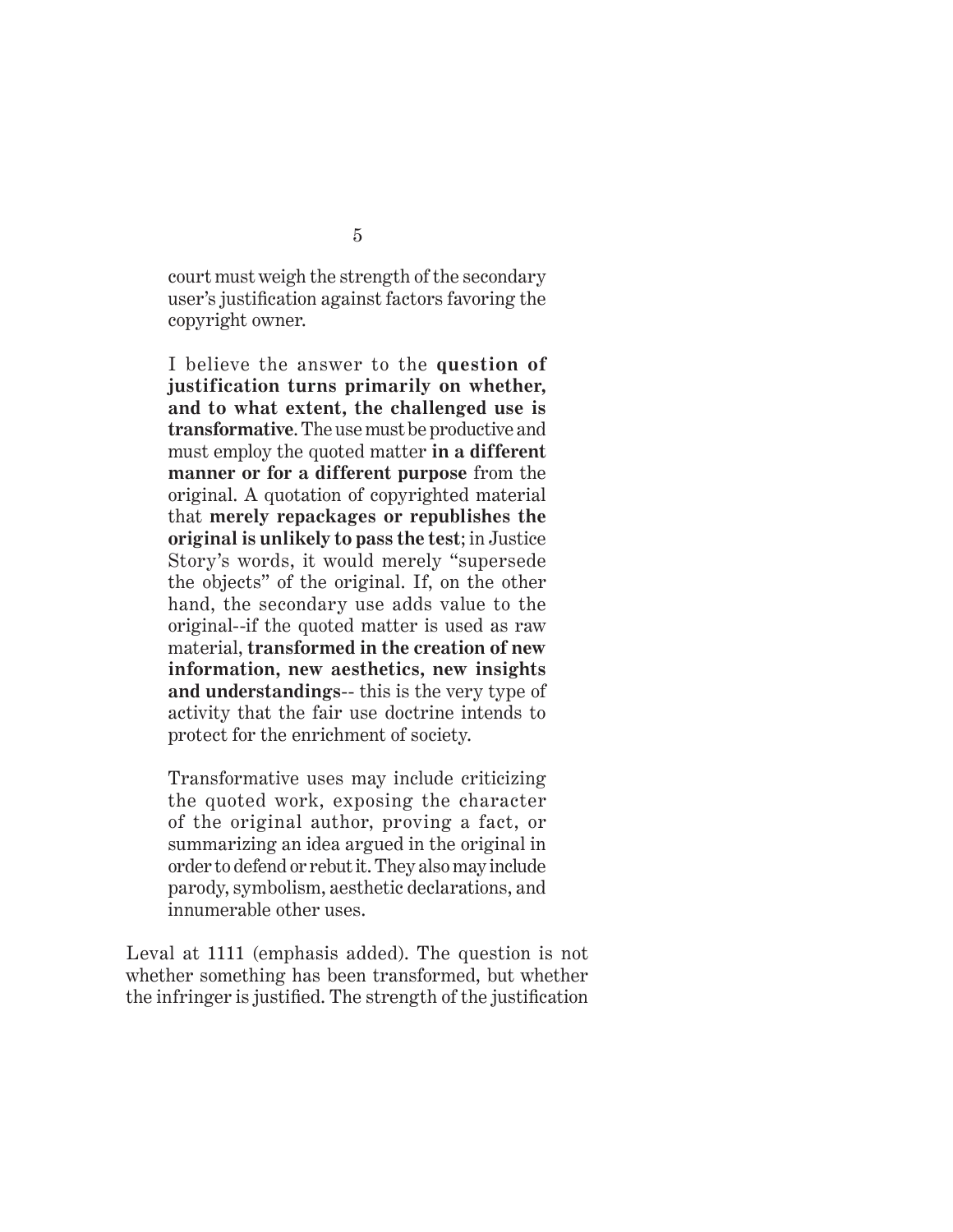court must weigh the strength of the secondary user's justification against factors favoring the copyright owner.

I believe the answer to the **question of justification turns primarily on whether, and to what extent, the challenged use is transformative**. The use must be productive and must employ the quoted matter **in a different manner or for a different purpose** from the original. A quotation of copyrighted material that **merely repackages or republishes the original is unlikely to pass the test**; in Justice Story's words, it would merely "supersede the objects" of the original. If, on the other hand, the secondary use adds value to the original--if the quoted matter is used as raw material, **transformed in the creation of new information, new aesthetics, new insights and understandings**-- this is the very type of activity that the fair use doctrine intends to protect for the enrichment of society.

Transformative uses may include criticizing the quoted work, exposing the character of the original author, proving a fact, or summarizing an idea argued in the original in order to defend or rebut it. They also may include parody, symbolism, aesthetic declarations, and innumerable other uses.

Leval at 1111 (emphasis added). The question is not whether something has been transformed, but whether the infringer is justified. The strength of the justification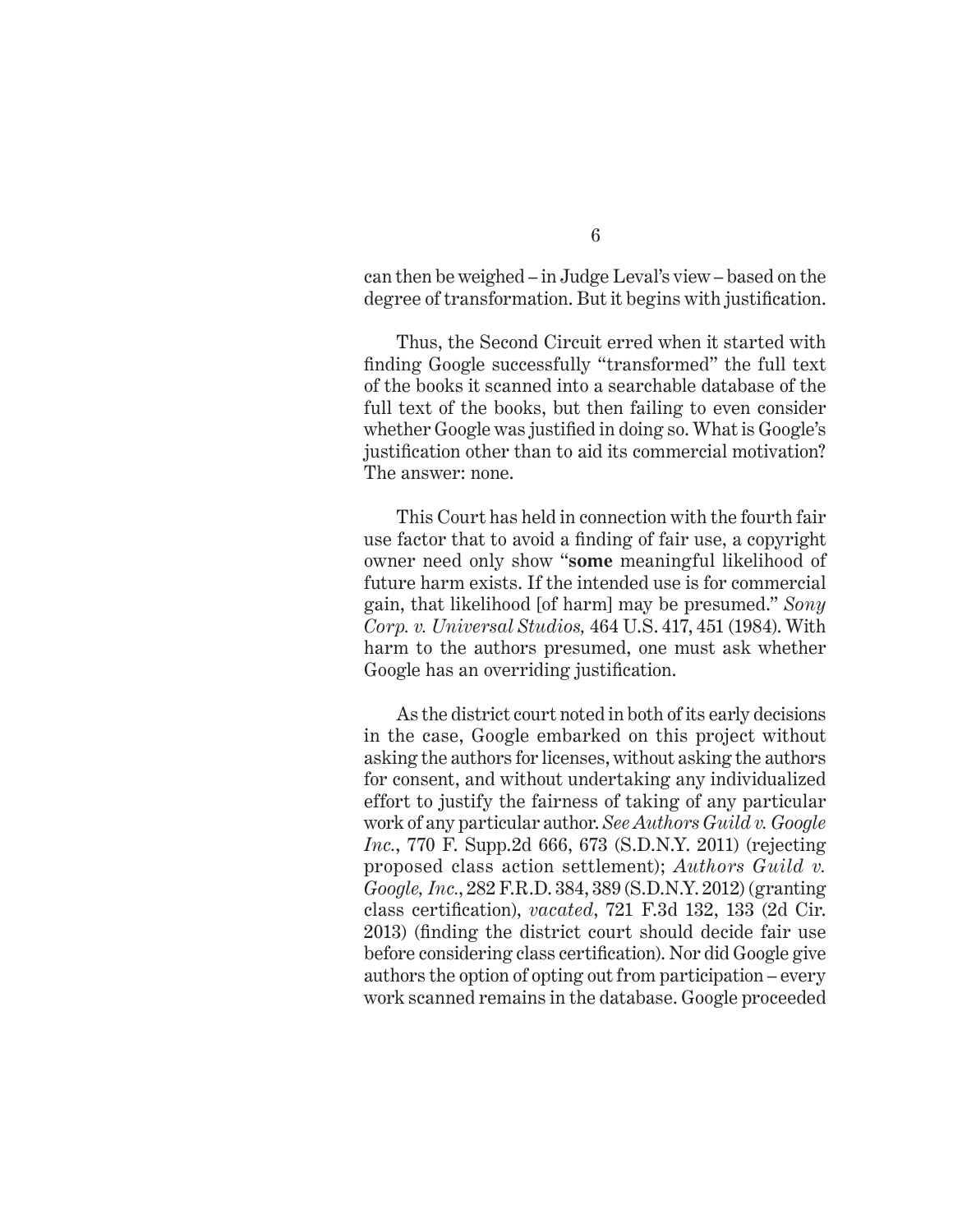can then be weighed – in Judge Leval's view – based on the degree of transformation. But it begins with justification.

Thus, the Second Circuit erred when it started with finding Google successfully "transformed" the full text of the books it scanned into a searchable database of the full text of the books, but then failing to even consider whether Google was justified in doing so. What is Google's justification other than to aid its commercial motivation? The answer: none.

This Court has held in connection with the fourth fair use factor that to avoid a finding of fair use, a copyright owner need only show "**some** meaningful likelihood of future harm exists. If the intended use is for commercial gain, that likelihood [of harm] may be presumed." *Sony Corp. v. Universal Studios,* 464 U.S. 417, 451 (1984). With harm to the authors presumed, one must ask whether Google has an overriding justification.

As the district court noted in both of its early decisions in the case, Google embarked on this project without asking the authors for licenses, without asking the authors for consent, and without undertaking any individualized effort to justify the fairness of taking of any particular work of any particular author. *See Authors Guild v. Google Inc.*, 770 F. Supp.2d 666, 673 (S.D.N.Y. 2011) (rejecting proposed class action settlement); *Authors Guild v. Google, Inc.*, 282 F.R.D. 384, 389 (S.D.N.Y. 2012) (granting class certification), *vacated*, 721 F.3d 132, 133 (2d Cir. 2013) (finding the district court should decide fair use before considering class certification). Nor did Google give authors the option of opting out from participation – every work scanned remains in the database. Google proceeded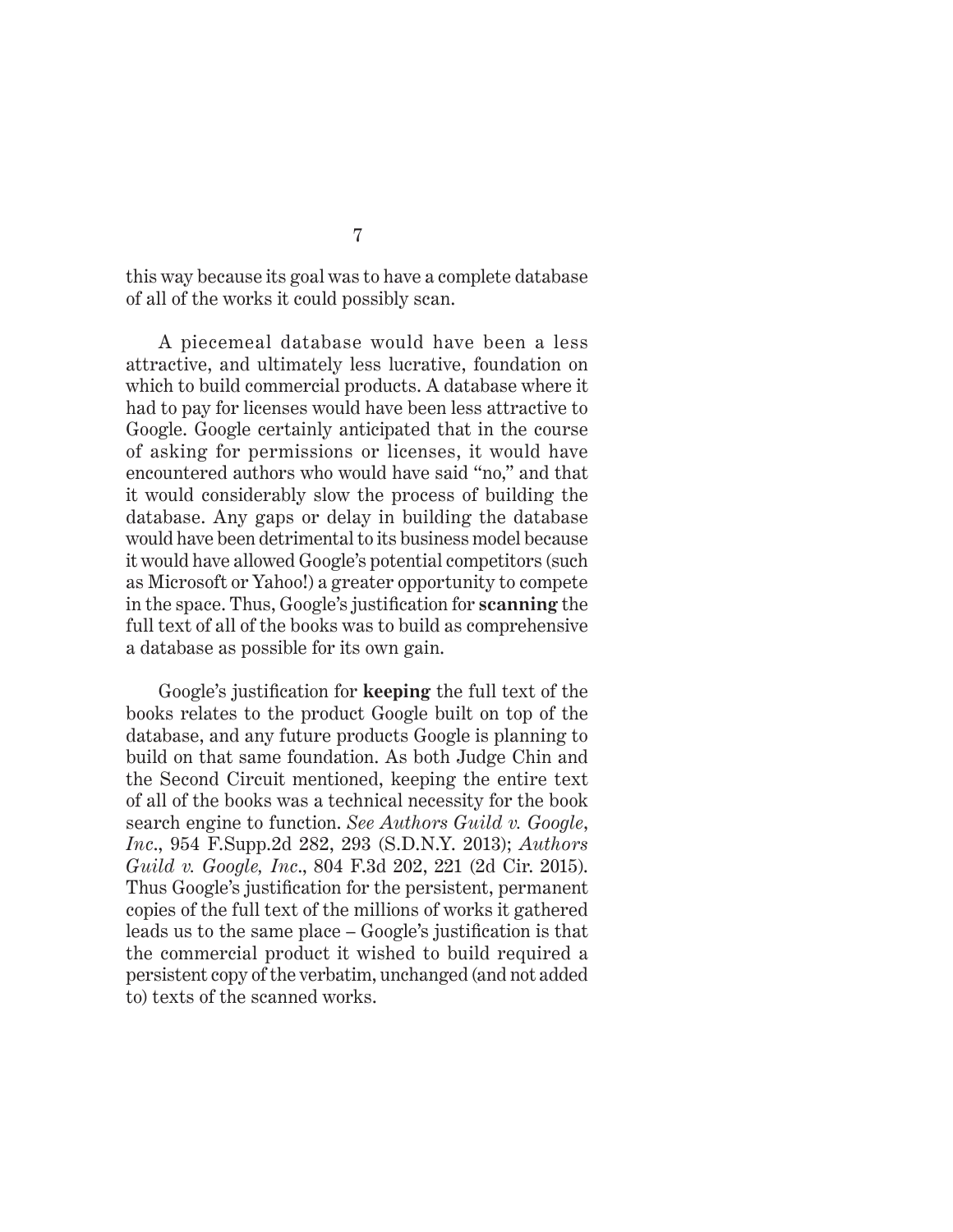this way because its goal was to have a complete database of all of the works it could possibly scan.

A piecemeal database would have been a less attractive, and ultimately less lucrative, foundation on which to build commercial products. A database where it had to pay for licenses would have been less attractive to Google. Google certainly anticipated that in the course of asking for permissions or licenses, it would have encountered authors who would have said "no," and that it would considerably slow the process of building the database. Any gaps or delay in building the database would have been detrimental to its business model because it would have allowed Google's potential competitors (such as Microsoft or Yahoo!) a greater opportunity to compete in the space. Thus, Google's justification for **scanning** the full text of all of the books was to build as comprehensive a database as possible for its own gain.

Google's justification for **keeping** the full text of the books relates to the product Google built on top of the database, and any future products Google is planning to build on that same foundation. As both Judge Chin and the Second Circuit mentioned, keeping the entire text of all of the books was a technical necessity for the book search engine to function. *See Authors Guild v. Google*, *Inc*., 954 F.Supp.2d 282, 293 (S.D.N.Y. 2013); *Authors Guild v. Google, Inc*., 804 F.3d 202, 221 (2d Cir. 2015). Thus Google's justification for the persistent, permanent copies of the full text of the millions of works it gathered leads us to the same place – Google's justification is that the commercial product it wished to build required a persistent copy of the verbatim, unchanged (and not added to) texts of the scanned works.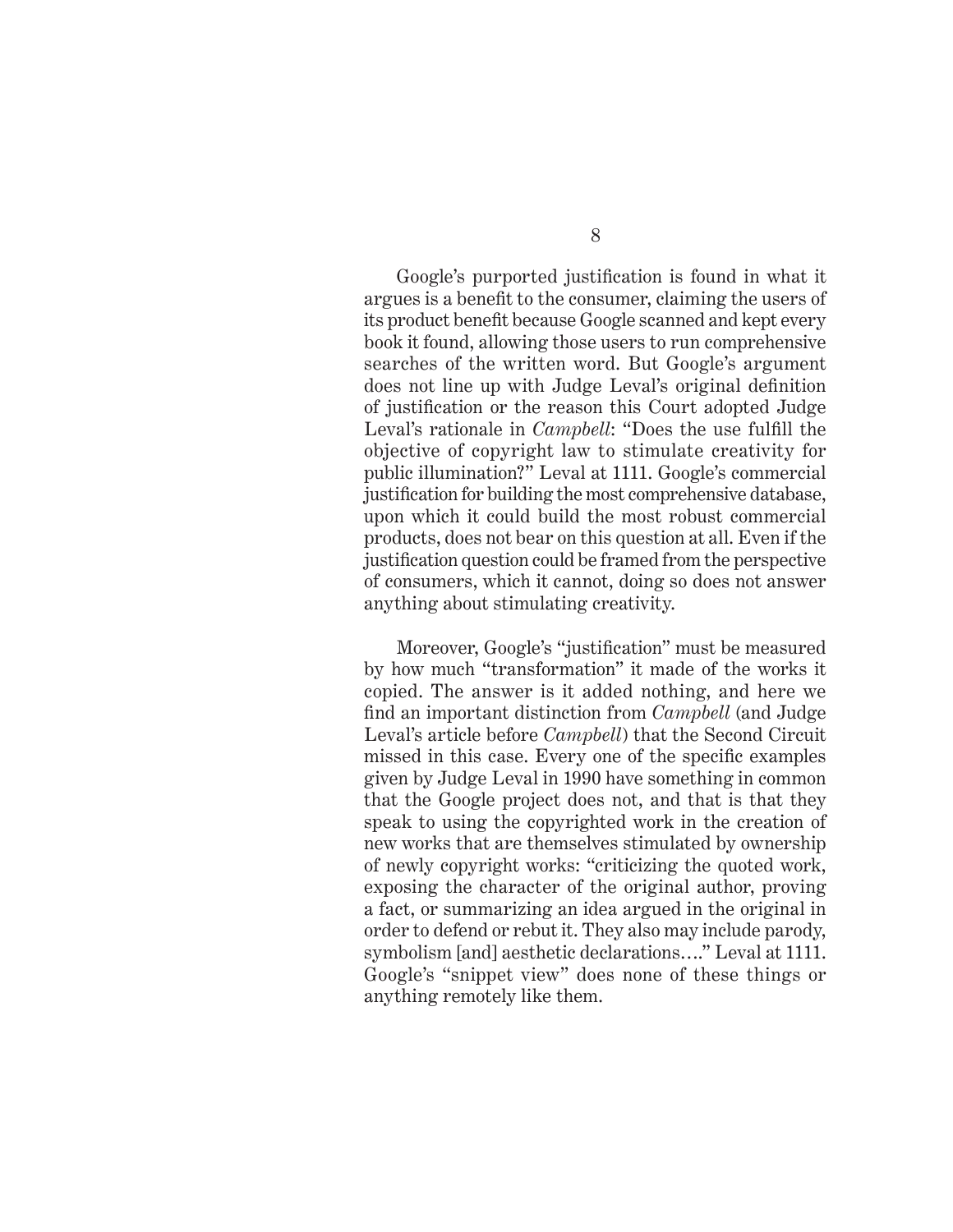Google's purported justification is found in what it argues is a benefit to the consumer, claiming the users of its product benefit because Google scanned and kept every book it found, allowing those users to run comprehensive searches of the written word. But Google's argument does not line up with Judge Leval's original definition of justification or the reason this Court adopted Judge Leval's rationale in *Campbell*: "Does the use fulfill the objective of copyright law to stimulate creativity for public illumination?" Leval at 1111. Google's commercial justification for building the most comprehensive database, upon which it could build the most robust commercial products, does not bear on this question at all. Even if the justification question could be framed from the perspective of consumers, which it cannot, doing so does not answer anything about stimulating creativity.

Moreover, Google's "justification" must be measured by how much "transformation" it made of the works it copied. The answer is it added nothing, and here we find an important distinction from *Campbell* (and Judge Leval's article before *Campbell*) that the Second Circuit missed in this case. Every one of the specific examples given by Judge Leval in 1990 have something in common that the Google project does not, and that is that they speak to using the copyrighted work in the creation of new works that are themselves stimulated by ownership of newly copyright works: "criticizing the quoted work, exposing the character of the original author, proving a fact, or summarizing an idea argued in the original in order to defend or rebut it. They also may include parody, symbolism [and] aesthetic declarations…." Leval at 1111. Google's "snippet view" does none of these things or anything remotely like them.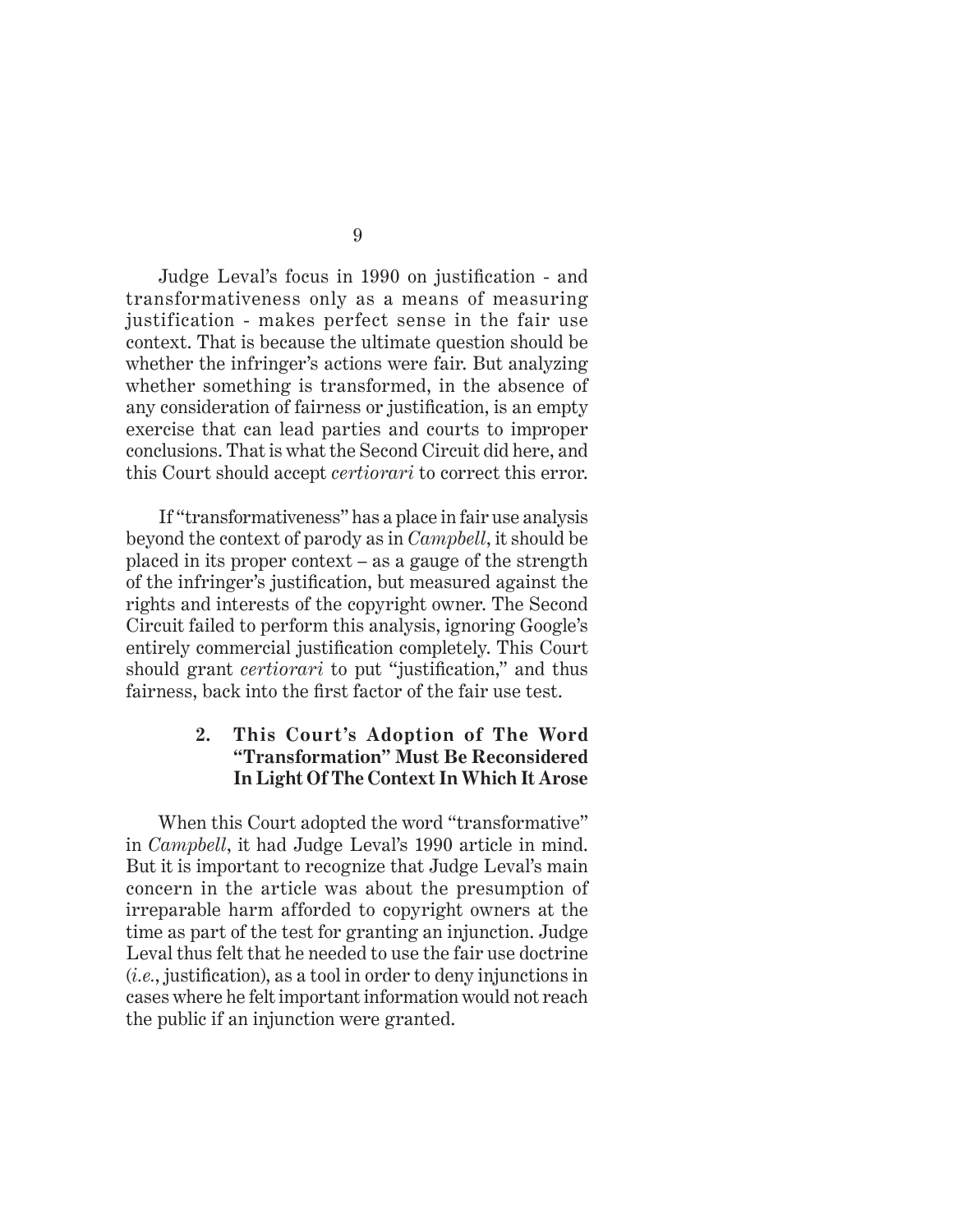Judge Leval's focus in 1990 on justification - and transformativeness only as a means of measuring justification - makes perfect sense in the fair use context. That is because the ultimate question should be whether the infringer's actions were fair. But analyzing whether something is transformed, in the absence of any consideration of fairness or justification, is an empty exercise that can lead parties and courts to improper conclusions. That is what the Second Circuit did here, and this Court should accept *certiorari* to correct this error.

If "transformativeness" has a place in fair use analysis beyond the context of parody as in *Campbell*, it should be placed in its proper context – as a gauge of the strength of the infringer's justification, but measured against the rights and interests of the copyright owner. The Second Circuit failed to perform this analysis, ignoring Google's entirely commercial justification completely. This Court should grant *certiorari* to put "justification," and thus fairness, back into the first factor of the fair use test.

#### **2. This Court's Adoption of The Word "Transformation" Must Be Reconsidered In Light Of The Context In Which It Arose**

When this Court adopted the word "transformative" in *Campbell*, it had Judge Leval's 1990 article in mind. But it is important to recognize that Judge Leval's main concern in the article was about the presumption of irreparable harm afforded to copyright owners at the time as part of the test for granting an injunction. Judge Leval thus felt that he needed to use the fair use doctrine (*i.e.*, justification), as a tool in order to deny injunctions in cases where he felt important information would not reach the public if an injunction were granted.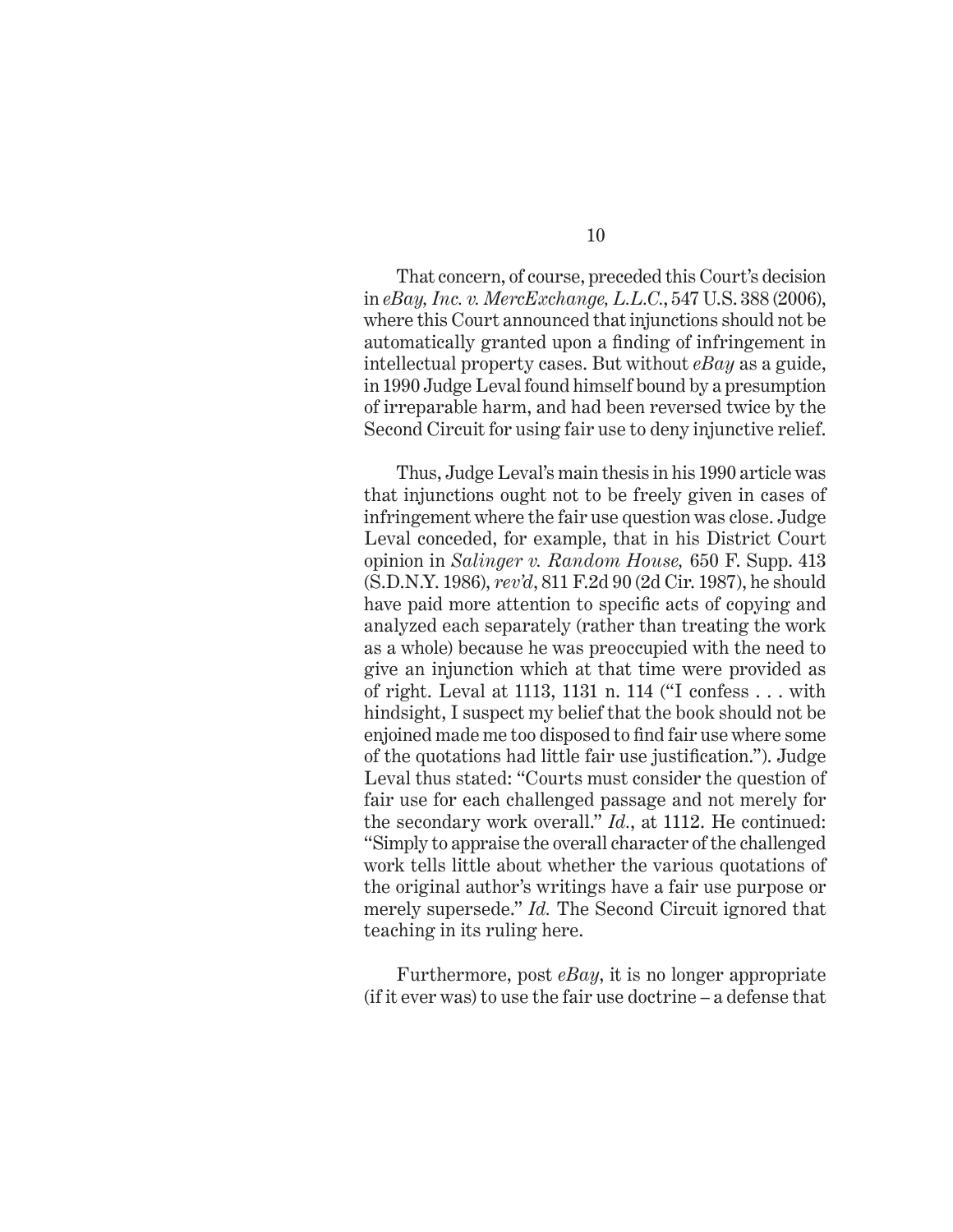That concern, of course, preceded this Court's decision in *eBay, Inc. v. MercExchange, L.L.C.*, 547 U.S. 388 (2006), where this Court announced that injunctions should not be automatically granted upon a finding of infringement in intellectual property cases. But without *eBay* as a guide, in 1990 Judge Leval found himself bound by a presumption of irreparable harm, and had been reversed twice by the Second Circuit for using fair use to deny injunctive relief.

Thus, Judge Leval's main thesis in his 1990 article was that injunctions ought not to be freely given in cases of infringement where the fair use question was close. Judge Leval conceded, for example, that in his District Court opinion in *Salinger v. Random House,* 650 F. Supp. 413 (S.D.N.Y. 1986), *rev'd*, 811 F.2d 90 (2d Cir. 1987), he should have paid more attention to specific acts of copying and analyzed each separately (rather than treating the work as a whole) because he was preoccupied with the need to give an injunction which at that time were provided as of right. Leval at 1113, 1131 n. 114 ("I confess . . . with hindsight, I suspect my belief that the book should not be enjoined made me too disposed to find fair use where some of the quotations had little fair use justification."). Judge Leval thus stated: "Courts must consider the question of fair use for each challenged passage and not merely for the secondary work overall." *Id.*, at 1112. He continued: "Simply to appraise the overall character of the challenged work tells little about whether the various quotations of the original author's writings have a fair use purpose or merely supersede." *Id.* The Second Circuit ignored that teaching in its ruling here.

Furthermore, post *eBay*, it is no longer appropriate (if it ever was) to use the fair use doctrine – a defense that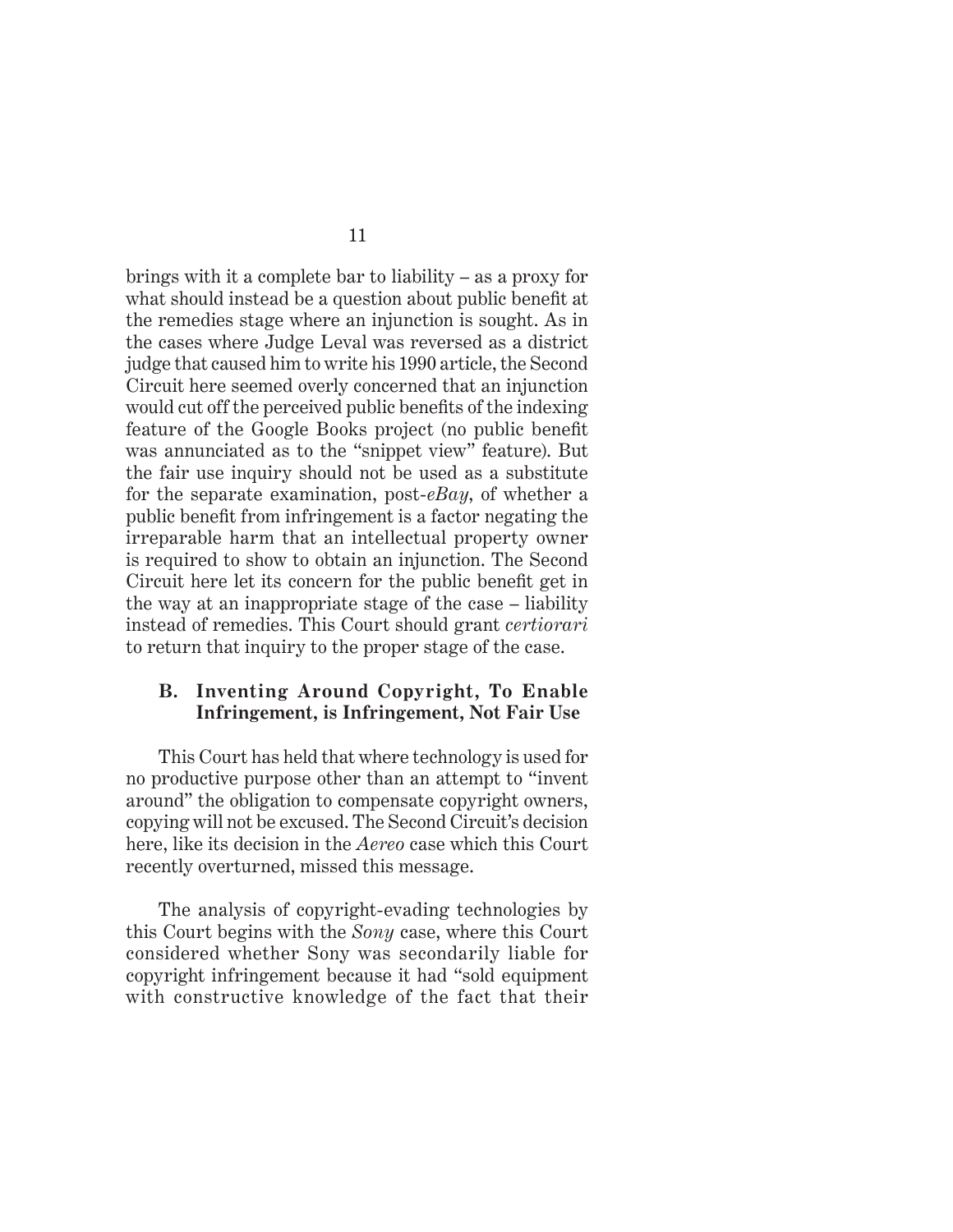brings with it a complete bar to liability – as a proxy for what should instead be a question about public benefit at the remedies stage where an injunction is sought. As in the cases where Judge Leval was reversed as a district judge that caused him to write his 1990 article, the Second Circuit here seemed overly concerned that an injunction would cut off the perceived public benefits of the indexing feature of the Google Books project (no public benefit was annunciated as to the "snippet view" feature). But the fair use inquiry should not be used as a substitute for the separate examination, post-*eBay*, of whether a public benefit from infringement is a factor negating the irreparable harm that an intellectual property owner is required to show to obtain an injunction. The Second Circuit here let its concern for the public benefit get in the way at an inappropriate stage of the case – liability instead of remedies. This Court should grant *certiorari* to return that inquiry to the proper stage of the case.

#### **B. Inventing Around Copyright, To Enable Infringement, is Infringement, Not Fair Use**

This Court has held that where technology is used for no productive purpose other than an attempt to "invent around" the obligation to compensate copyright owners, copying will not be excused. The Second Circuit's decision here, like its decision in the *Aereo* case which this Court recently overturned, missed this message.

The analysis of copyright-evading technologies by this Court begins with the *Sony* case, where this Court considered whether Sony was secondarily liable for copyright infringement because it had "sold equipment with constructive knowledge of the fact that their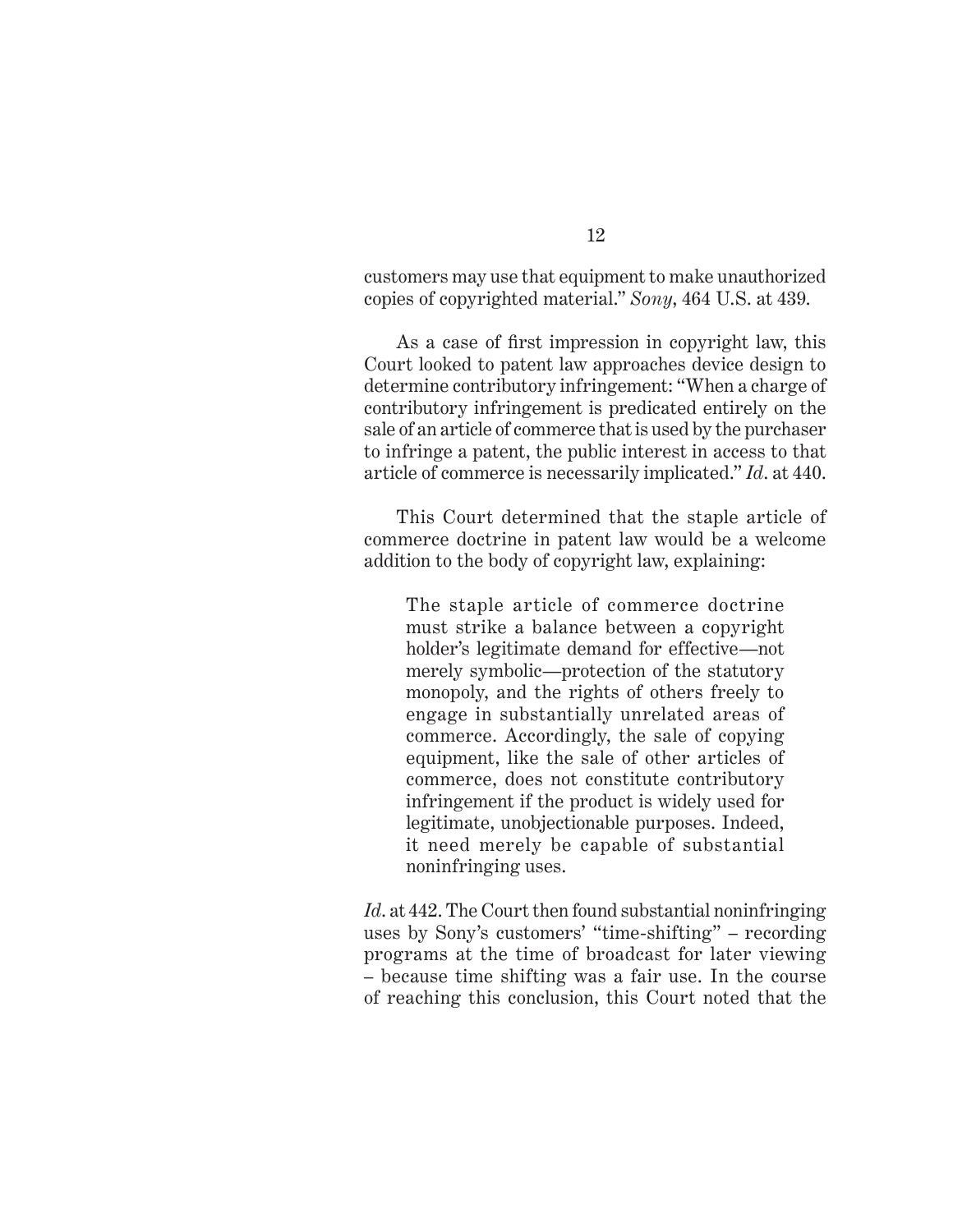customers may use that equipment to make unauthorized copies of copyrighted material." *Sony*, 464 U.S. at 439.

As a case of first impression in copyright law, this Court looked to patent law approaches device design to determine contributory infringement: "When a charge of contributory infringement is predicated entirely on the sale of an article of commerce that is used by the purchaser to infringe a patent, the public interest in access to that article of commerce is necessarily implicated." *Id*. at 440.

This Court determined that the staple article of commerce doctrine in patent law would be a welcome addition to the body of copyright law, explaining:

The staple article of commerce doctrine must strike a balance between a copyright holder's legitimate demand for effective—not merely symbolic—protection of the statutory monopoly, and the rights of others freely to engage in substantially unrelated areas of commerce. Accordingly, the sale of copying equipment, like the sale of other articles of commerce, does not constitute contributory infringement if the product is widely used for legitimate, unobjectionable purposes. Indeed, it need merely be capable of substantial noninfringing uses.

*Id*. at 442. The Court then found substantial noninfringing uses by Sony's customers' "time-shifting" – recording programs at the time of broadcast for later viewing – because time shifting was a fair use. In the course of reaching this conclusion, this Court noted that the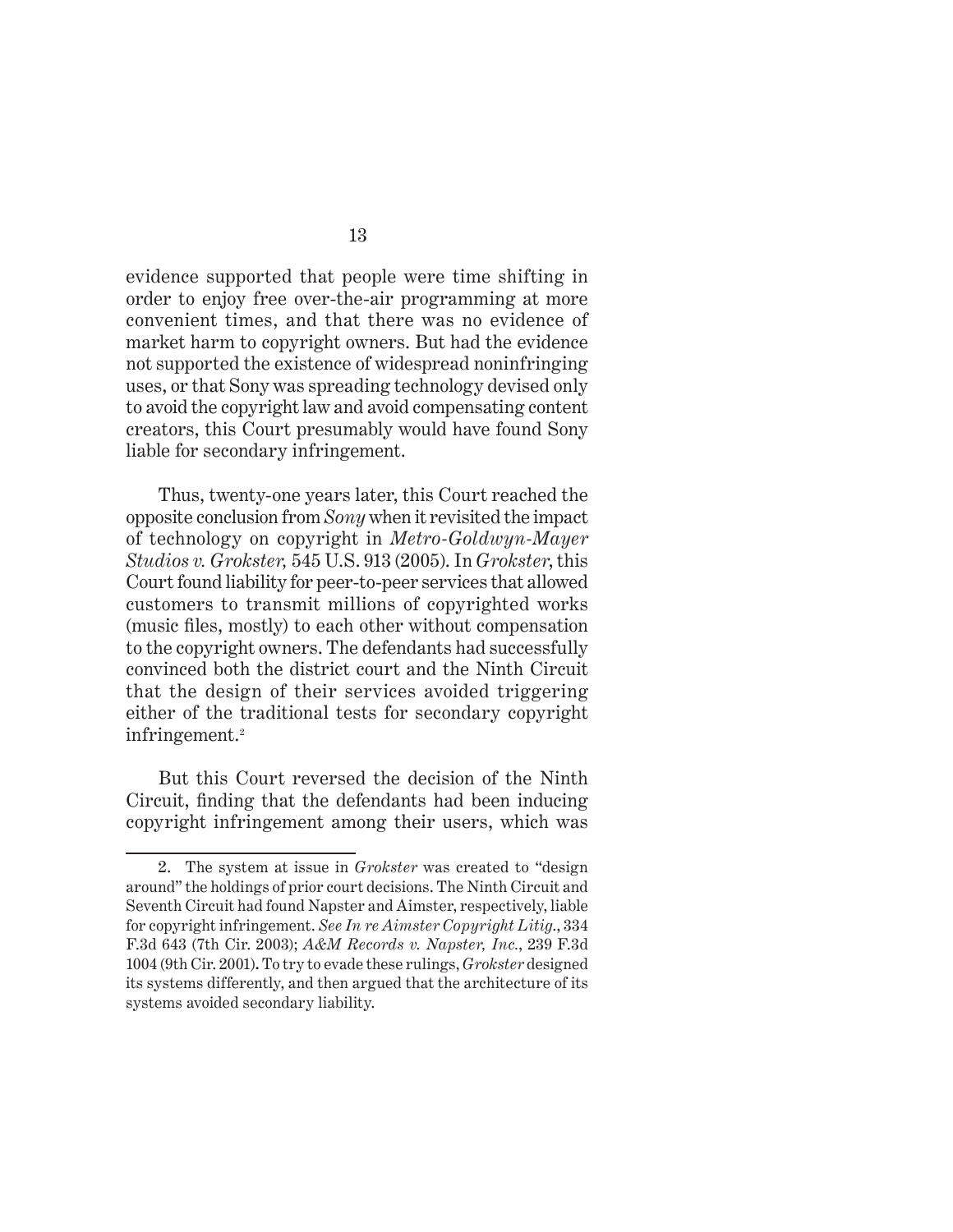evidence supported that people were time shifting in order to enjoy free over-the-air programming at more convenient times, and that there was no evidence of market harm to copyright owners. But had the evidence not supported the existence of widespread noninfringing uses, or that Sony was spreading technology devised only to avoid the copyright law and avoid compensating content creators, this Court presumably would have found Sony liable for secondary infringement.

Thus, twenty-one years later, this Court reached the opposite conclusion from *Sony* when it revisited the impact of technology on copyright in *Metro-Goldwyn-Mayer Studios v. Grokster,* 545 U.S. 913 (2005). In *Grokster*, this Court found liability for peer-to-peer services that allowed customers to transmit millions of copyrighted works (music files, mostly) to each other without compensation to the copyright owners. The defendants had successfully convinced both the district court and the Ninth Circuit that the design of their services avoided triggering either of the traditional tests for secondary copyright infringement.<sup>2</sup>

But this Court reversed the decision of the Ninth Circuit, finding that the defendants had been inducing copyright infringement among their users, which was

<sup>2.</sup> The system at issue in *Grokster* was created to "design around" the holdings of prior court decisions. The Ninth Circuit and Seventh Circuit had found Napster and Aimster, respectively, liable for copyright infringement. *See In re Aimster Copyright Litig*., 334 F.3d 643 (7th Cir. 2003); *A&M Records v. Napster, Inc.*, 239 F.3d 1004 (9th Cir. 2001)**.** To try to evade these rulings, *Grokster* designed its systems differently, and then argued that the architecture of its systems avoided secondary liability.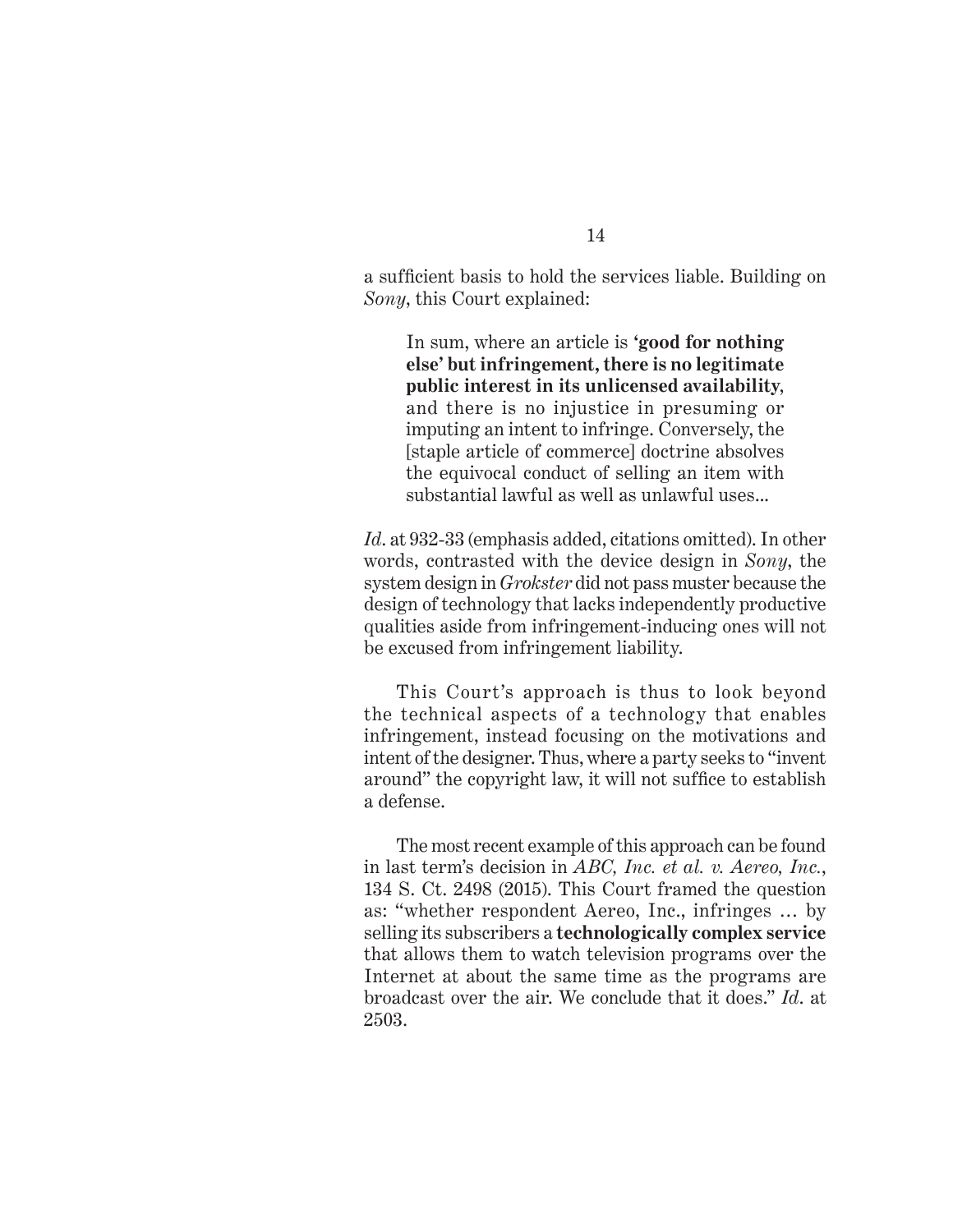a sufficient basis to hold the services liable. Building on *Sony*, this Court explained:

In sum, where an article is **'good for nothing else' but infringement, there is no legitimate public interest in its unlicensed availability**, and there is no injustice in presuming or imputing an intent to infringe. Conversely, the [staple article of commerce] doctrine absolves the equivocal conduct of selling an item with substantial lawful as well as unlawful uses...

*Id*. at 932-33 (emphasis added, citations omitted). In other words, contrasted with the device design in *Sony*, the system design in *Grokster* did not pass muster because the design of technology that lacks independently productive qualities aside from infringement-inducing ones will not be excused from infringement liability.

This Court's approach is thus to look beyond the technical aspects of a technology that enables infringement, instead focusing on the motivations and intent of the designer. Thus, where a party seeks to "invent around" the copyright law, it will not suffice to establish a defense.

The most recent example of this approach can be found in last term's decision in *ABC, Inc. et al. v. Aereo, Inc.*, 134 S. Ct. 2498 (2015). This Court framed the question as: "whether respondent Aereo, Inc., infringes … by selling its subscribers a **technologically complex service** that allows them to watch television programs over the Internet at about the same time as the programs are broadcast over the air. We conclude that it does." *Id*. at 2503.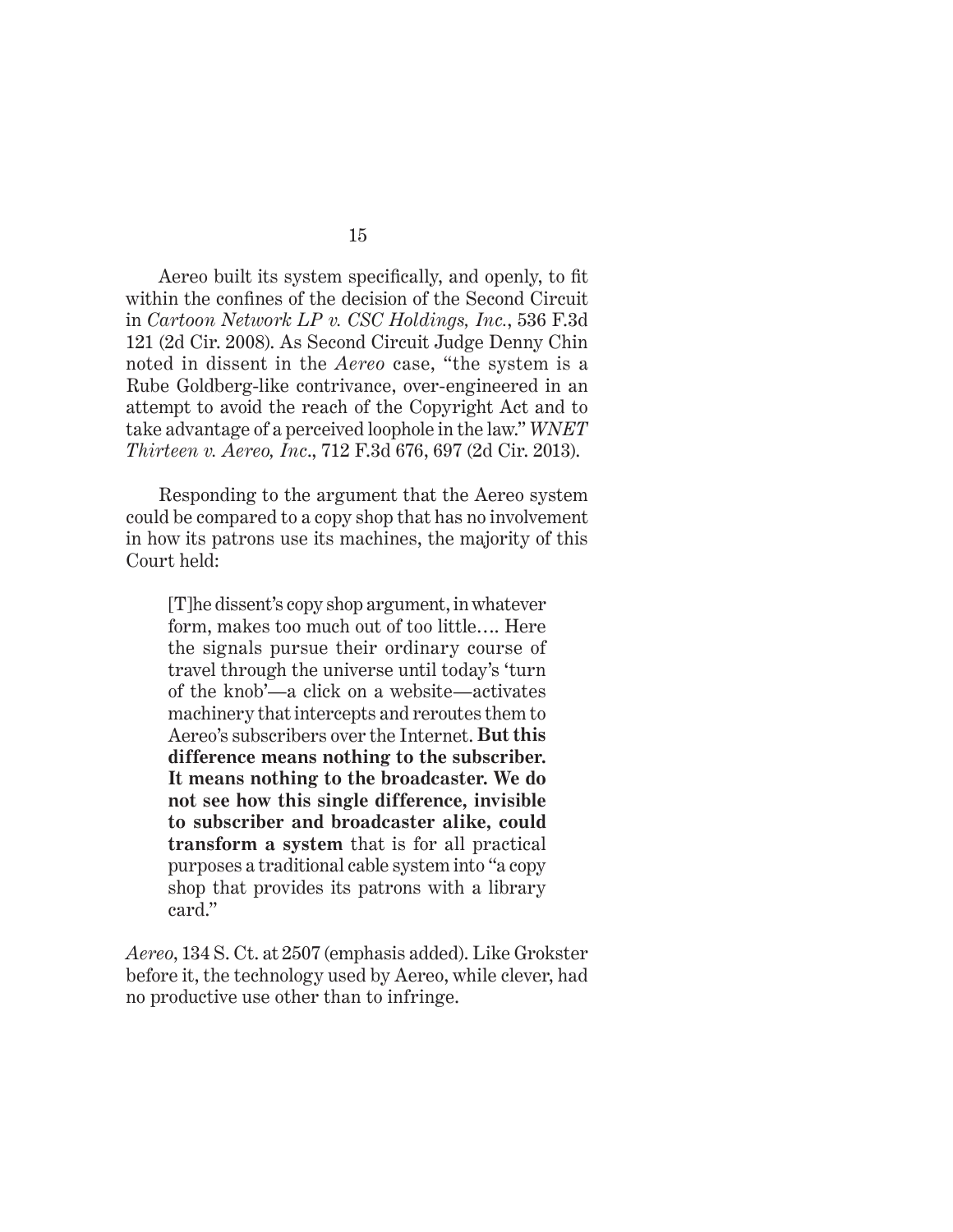Aereo built its system specifically, and openly, to fit within the confines of the decision of the Second Circuit in *Cartoon Network LP v. CSC Holdings, Inc.*, 536 F.3d 121 (2d Cir. 2008). As Second Circuit Judge Denny Chin noted in dissent in the *Aereo* case, "the system is a Rube Goldberg-like contrivance, over-engineered in an attempt to avoid the reach of the Copyright Act and to take advantage of a perceived loophole in the law." *WNET Thirteen v. Aereo, Inc*., 712 F.3d 676, 697 (2d Cir. 2013).

Responding to the argument that the Aereo system could be compared to a copy shop that has no involvement in how its patrons use its machines, the majority of this Court held:

[T]he dissent's copy shop argument, in whatever form, makes too much out of too little…. Here the signals pursue their ordinary course of travel through the universe until today's 'turn of the knob'—a click on a website—activates machinery that intercepts and reroutes them to Aereo's subscribers over the Internet. **But this difference means nothing to the subscriber. It means nothing to the broadcaster. We do not see how this single difference, invisible to subscriber and broadcaster alike, could transform a system** that is for all practical purposes a traditional cable system into "a copy shop that provides its patrons with a library card."

*Aereo*, 134 S. Ct. at 2507 (emphasis added). Like Grokster before it, the technology used by Aereo, while clever, had no productive use other than to infringe.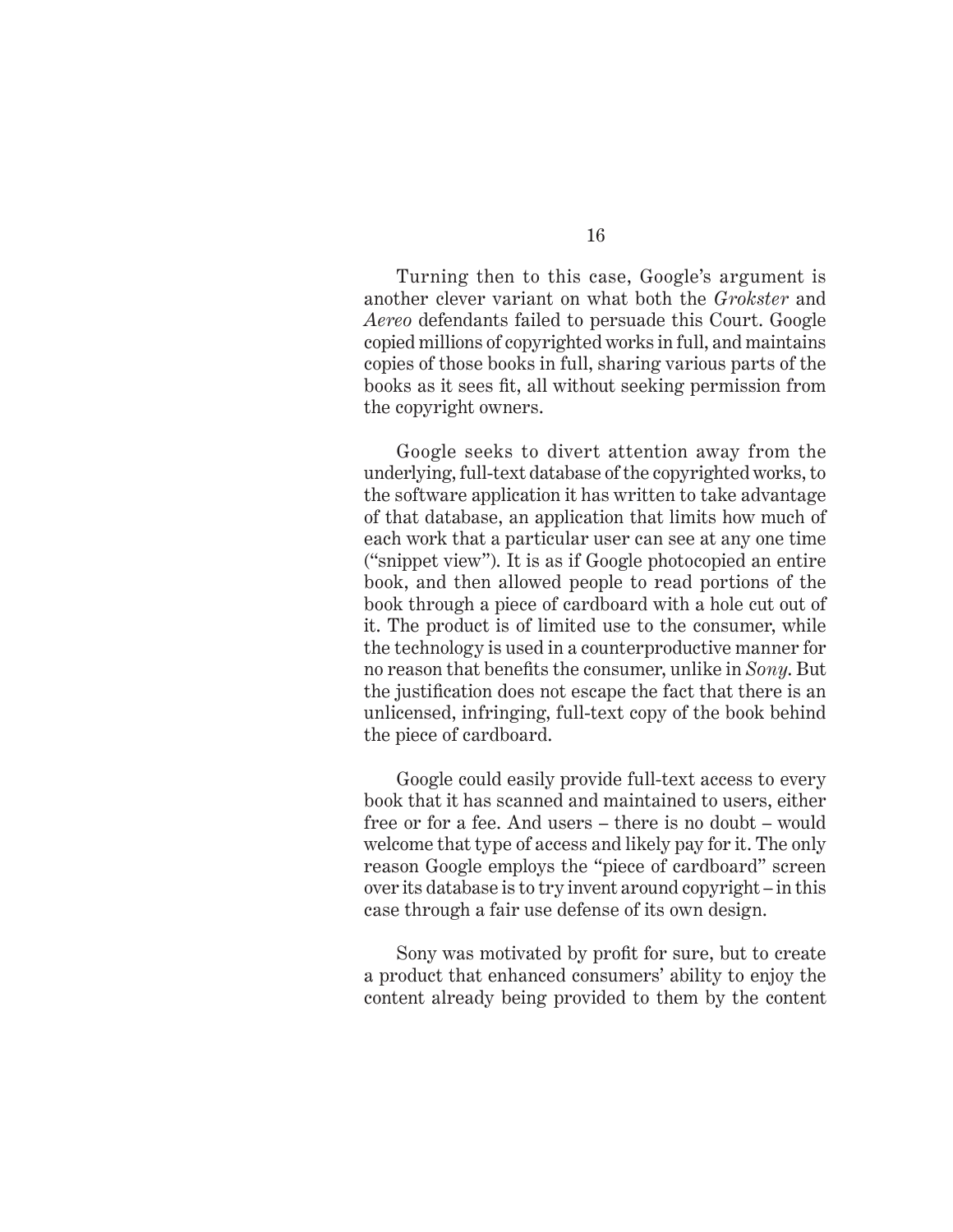Turning then to this case, Google's argument is another clever variant on what both the *Grokster* and *Aereo* defendants failed to persuade this Court. Google copied millions of copyrighted works in full, and maintains copies of those books in full, sharing various parts of the books as it sees fit, all without seeking permission from the copyright owners.

Google seeks to divert attention away from the underlying, full-text database of the copyrighted works, to the software application it has written to take advantage of that database, an application that limits how much of each work that a particular user can see at any one time ("snippet view"). It is as if Google photocopied an entire book, and then allowed people to read portions of the book through a piece of cardboard with a hole cut out of it. The product is of limited use to the consumer, while the technology is used in a counterproductive manner for no reason that benefits the consumer, unlike in *Sony*. But the justification does not escape the fact that there is an unlicensed, infringing, full-text copy of the book behind the piece of cardboard.

Google could easily provide full-text access to every book that it has scanned and maintained to users, either free or for a fee. And users – there is no doubt – would welcome that type of access and likely pay for it. The only reason Google employs the "piece of cardboard" screen over its database is to try invent around copyright – in this case through a fair use defense of its own design.

Sony was motivated by profit for sure, but to create a product that enhanced consumers' ability to enjoy the content already being provided to them by the content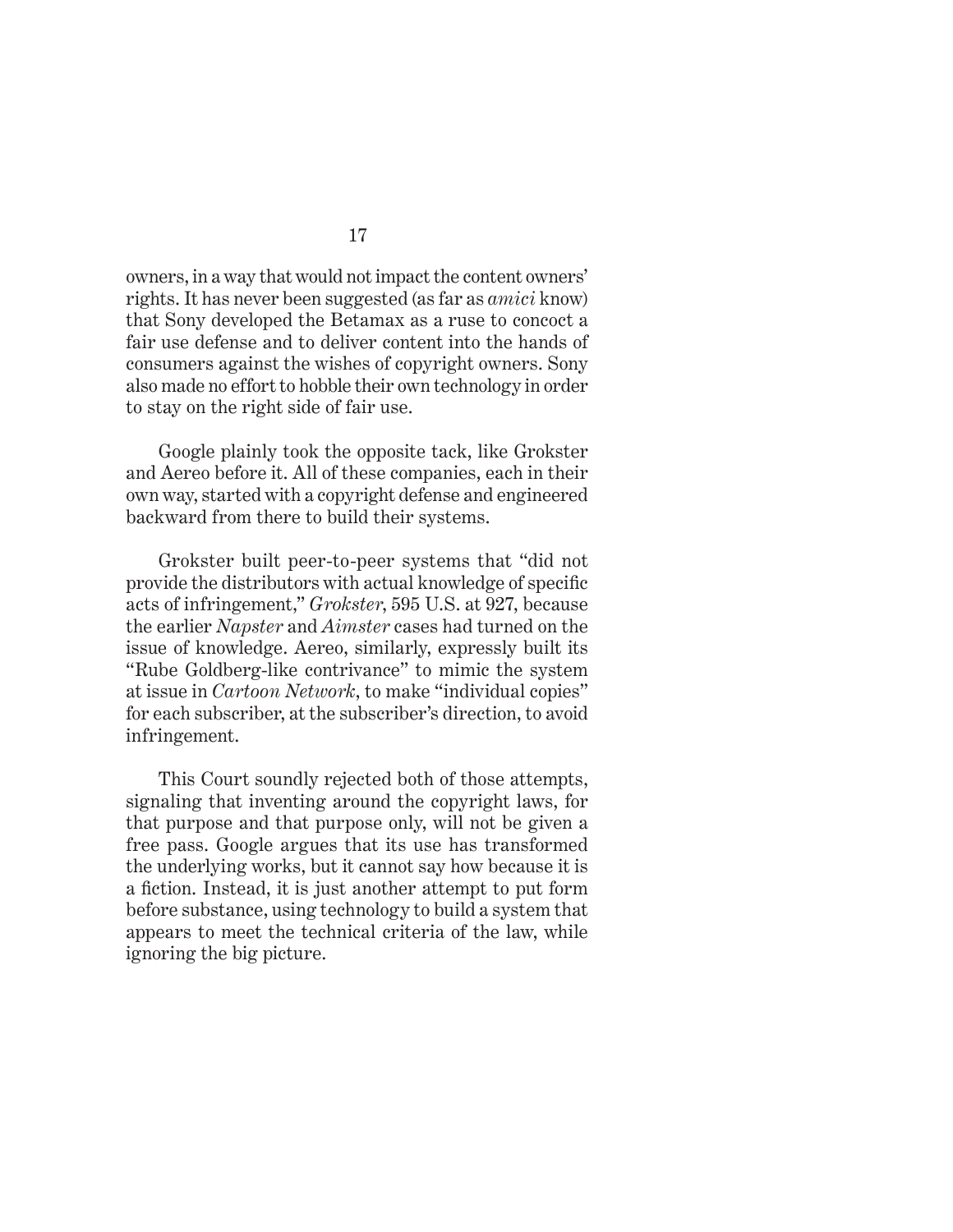owners, in a way that would not impact the content owners' rights. It has never been suggested (as far as *amici* know) that Sony developed the Betamax as a ruse to concoct a fair use defense and to deliver content into the hands of consumers against the wishes of copyright owners. Sony also made no effort to hobble their own technology in order to stay on the right side of fair use.

Google plainly took the opposite tack, like Grokster and Aereo before it. All of these companies, each in their own way, started with a copyright defense and engineered backward from there to build their systems.

Grokster built peer-to-peer systems that "did not provide the distributors with actual knowledge of specific acts of infringement," *Grokster*, 595 U.S. at 927, because the earlier *Napster* and *Aimster* cases had turned on the issue of knowledge. Aereo, similarly, expressly built its "Rube Goldberg-like contrivance" to mimic the system at issue in *Cartoon Network*, to make "individual copies" for each subscriber, at the subscriber's direction, to avoid infringement.

This Court soundly rejected both of those attempts, signaling that inventing around the copyright laws, for that purpose and that purpose only, will not be given a free pass. Google argues that its use has transformed the underlying works, but it cannot say how because it is a fiction. Instead, it is just another attempt to put form before substance, using technology to build a system that appears to meet the technical criteria of the law, while ignoring the big picture.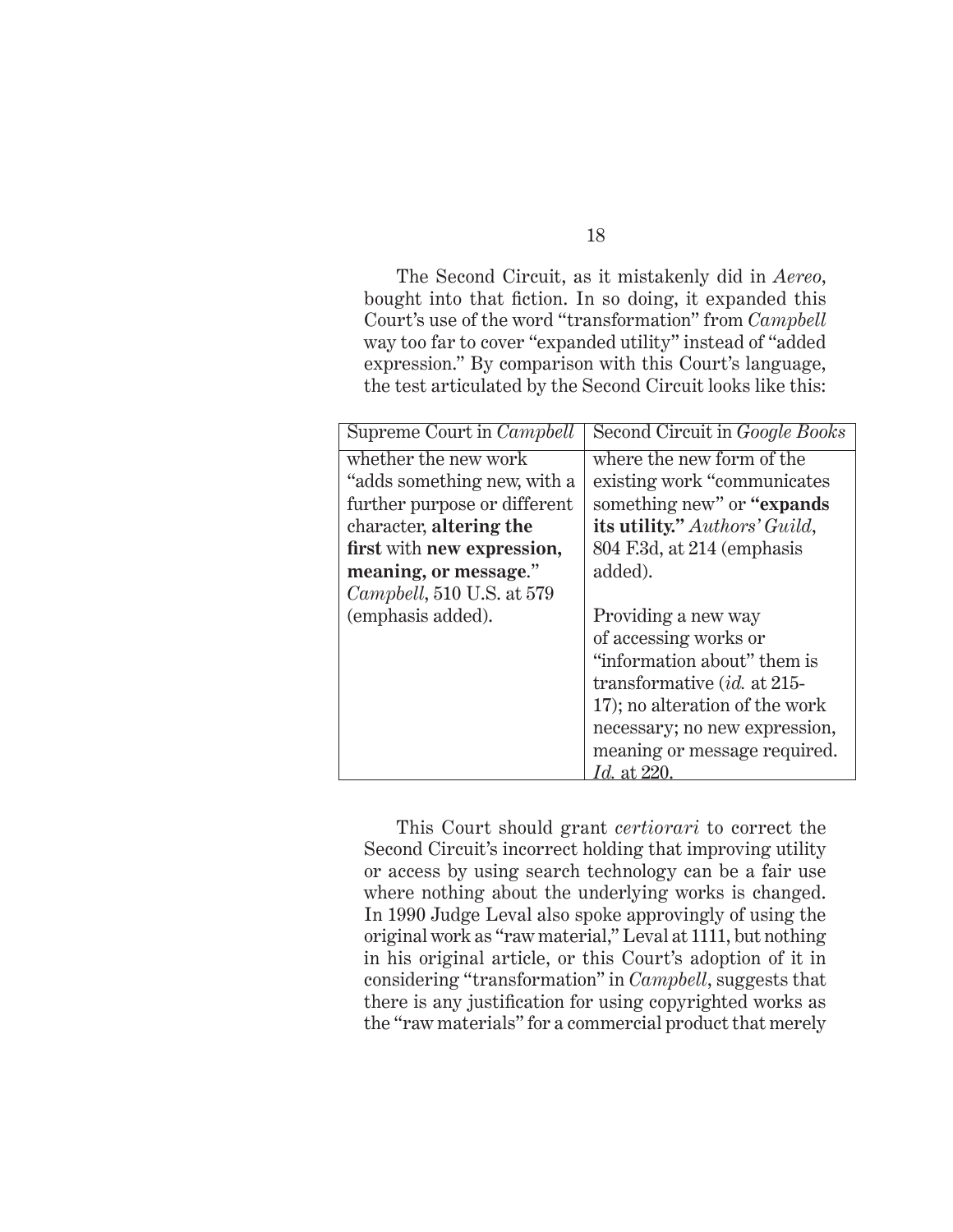The Second Circuit, as it mistakenly did in *Aereo*, bought into that fiction. In so doing, it expanded this Court's use of the word "transformation" from *Campbell* way too far to cover "expanded utility" instead of "added expression." By comparison with this Court's language, the test articulated by the Second Circuit looks like this:

| Supreme Court in <i>Campbell</i>  | Second Circuit in <i>Google Books</i> |
|-----------------------------------|---------------------------------------|
| whether the new work              | where the new form of the             |
| "adds something new, with a       | existing work "communicates"          |
| further purpose or different      | something new" or "expands"           |
| character, altering the           | its utility." Authors' Guild,         |
| first with new expression,        | 804 F.3d, at 214 (emphasis            |
| meaning, or message."             | added).                               |
| <i>Campbell</i> , 510 U.S. at 579 |                                       |
| (emphasis added).                 | Providing a new way                   |
|                                   | of accessing works or                 |
|                                   | "information about" them is           |
|                                   | transformative $(id.$ at 215-         |
|                                   | 17); no alteration of the work        |
|                                   | necessary; no new expression,         |
|                                   | meaning or message required.          |
|                                   | <i>Id.</i> at 220                     |

This Court should grant *certiorari* to correct the Second Circuit's incorrect holding that improving utility or access by using search technology can be a fair use where nothing about the underlying works is changed. In 1990 Judge Leval also spoke approvingly of using the original work as "raw material," Leval at 1111, but nothing in his original article, or this Court's adoption of it in considering "transformation" in *Campbell*, suggests that there is any justification for using copyrighted works as the "raw materials" for a commercial product that merely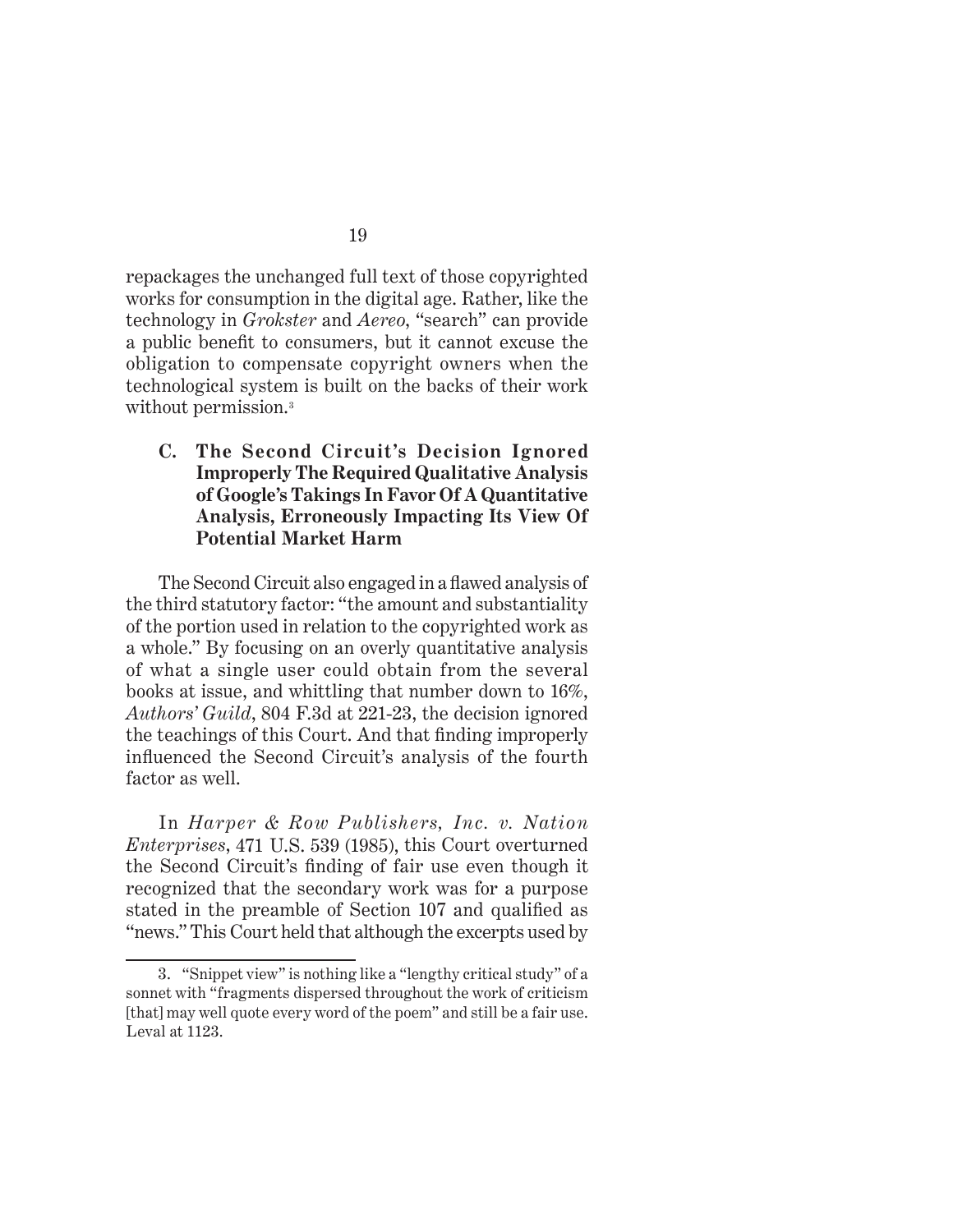repackages the unchanged full text of those copyrighted works for consumption in the digital age. Rather, like the technology in *Grokster* and *Aereo*, "search" can provide a public benefit to consumers, but it cannot excuse the obligation to compensate copyright owners when the technological system is built on the backs of their work without permission.<sup>3</sup>

#### **C. The Second Circuit's Decision Ignored Improperly The Required Qualitative Analysis of Google's Takings In Favor Of A Quantitative Analysis, Erroneously Impacting Its View Of Potential Market Harm**

The Second Circuit also engaged in a flawed analysis of the third statutory factor: "the amount and substantiality of the portion used in relation to the copyrighted work as a whole." By focusing on an overly quantitative analysis of what a single user could obtain from the several books at issue, and whittling that number down to 16%, *Authors' Guild*, 804 F.3d at 221-23, the decision ignored the teachings of this Court. And that finding improperly influenced the Second Circuit's analysis of the fourth factor as well.

In *Harper & Row Publishers, Inc. v. Nation Enterprises*, 471 U.S. 539 (1985), this Court overturned the Second Circuit's finding of fair use even though it recognized that the secondary work was for a purpose stated in the preamble of Section 107 and qualified as "news." This Court held that although the excerpts used by

<sup>3.</sup> "Snippet view" is nothing like a "lengthy critical study" of a sonnet with "fragments dispersed throughout the work of criticism [that] may well quote every word of the poem" and still be a fair use. Leval at 1123.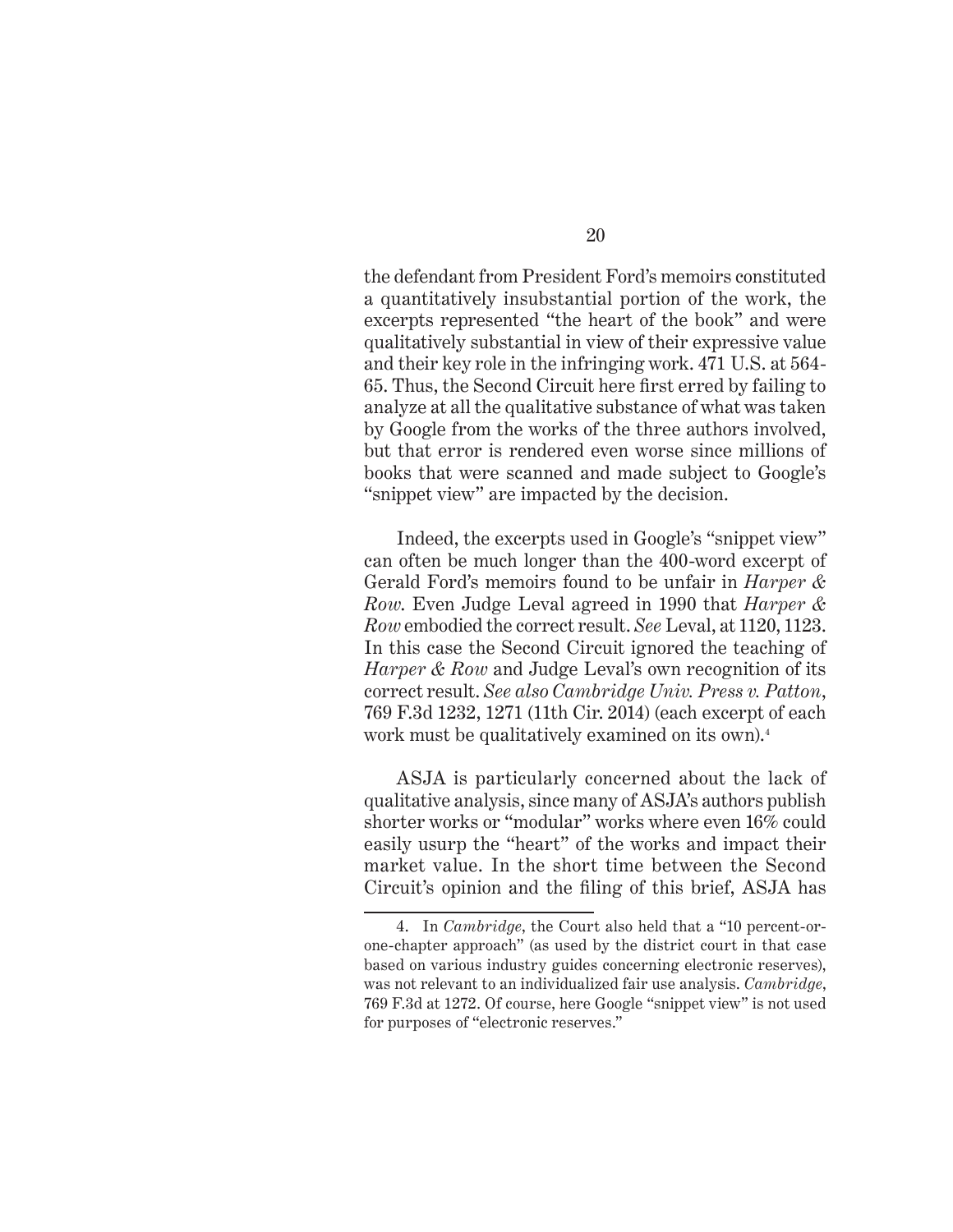the defendant from President Ford's memoirs constituted a quantitatively insubstantial portion of the work, the excerpts represented "the heart of the book" and were qualitatively substantial in view of their expressive value and their key role in the infringing work. 471 U.S. at 564- 65. Thus, the Second Circuit here first erred by failing to analyze at all the qualitative substance of what was taken by Google from the works of the three authors involved, but that error is rendered even worse since millions of books that were scanned and made subject to Google's "snippet view" are impacted by the decision.

Indeed, the excerpts used in Google's "snippet view" can often be much longer than the 400-word excerpt of Gerald Ford's memoirs found to be unfair in *Harper & Row*. Even Judge Leval agreed in 1990 that *Harper & Row* embodied the correct result. *See* Leval, at 1120, 1123. In this case the Second Circuit ignored the teaching of *Harper & Row* and Judge Leval's own recognition of its correct result. *See also Cambridge Univ. Press v. Patton*, 769 F.3d 1232, 1271 (11th Cir. 2014) (each excerpt of each work must be qualitatively examined on its own).<sup>4</sup>

ASJA is particularly concerned about the lack of qualitative analysis, since many of ASJA's authors publish shorter works or "modular" works where even 16% could easily usurp the "heart" of the works and impact their market value. In the short time between the Second Circuit's opinion and the filing of this brief, ASJA has

<sup>4.</sup> In *Cambridge*, the Court also held that a "10 percent-orone-chapter approach" (as used by the district court in that case based on various industry guides concerning electronic reserves), was not relevant to an individualized fair use analysis. *Cambridge*, 769 F.3d at 1272. Of course, here Google "snippet view" is not used for purposes of "electronic reserves."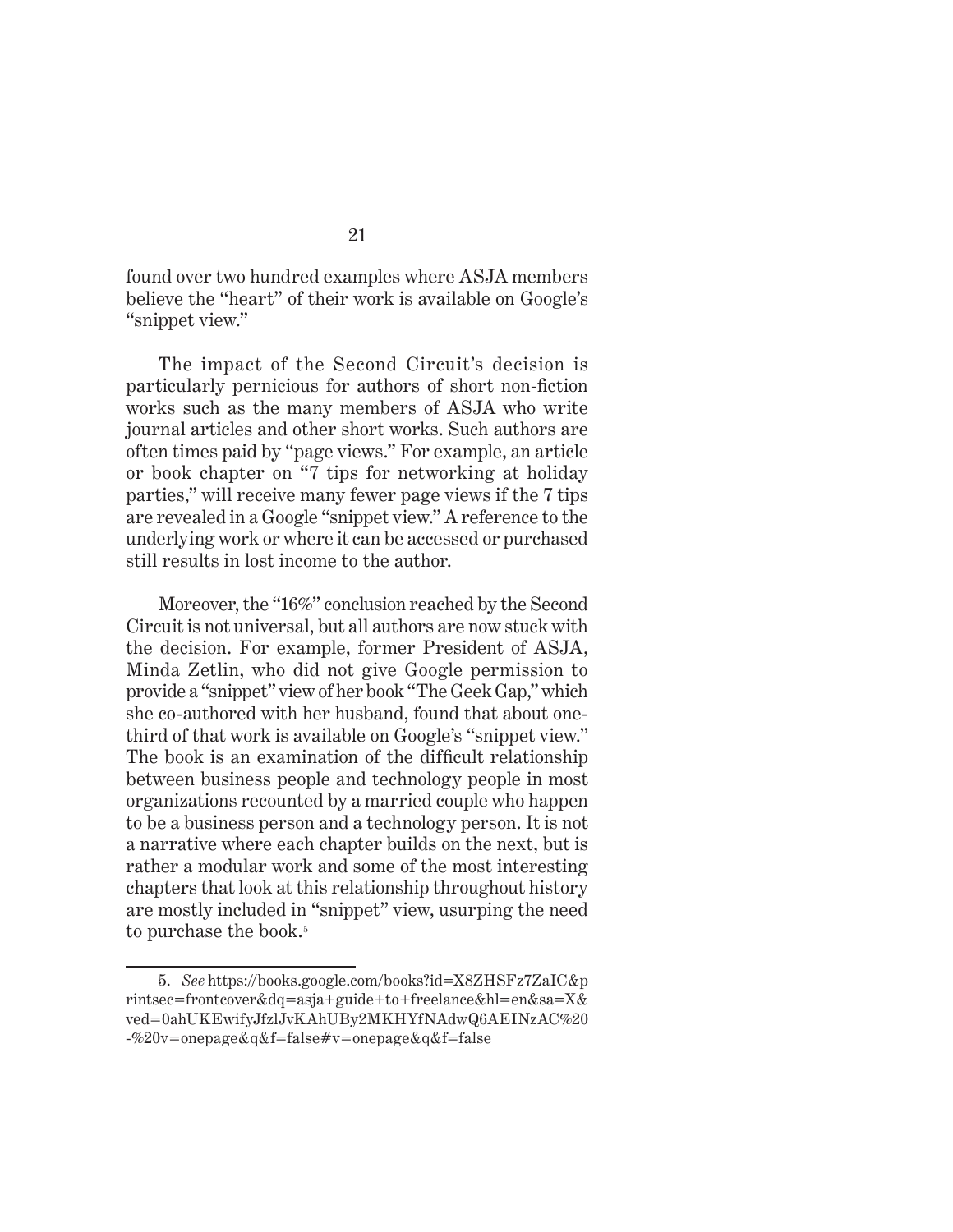found over two hundred examples where ASJA members believe the "heart" of their work is available on Google's "snippet view."

The impact of the Second Circuit's decision is particularly pernicious for authors of short non-fiction works such as the many members of ASJA who write journal articles and other short works. Such authors are often times paid by "page views." For example, an article or book chapter on "7 tips for networking at holiday parties," will receive many fewer page views if the 7 tips are revealed in a Google "snippet view." A reference to the underlying work or where it can be accessed or purchased still results in lost income to the author.

Moreover, the "16%" conclusion reached by the Second Circuit is not universal, but all authors are now stuck with the decision. For example, former President of ASJA, Minda Zetlin, who did not give Google permission to provide a "snippet" view of her book "The Geek Gap," which she co-authored with her husband, found that about onethird of that work is available on Google's "snippet view." The book is an examination of the difficult relationship between business people and technology people in most organizations recounted by a married couple who happen to be a business person and a technology person. It is not a narrative where each chapter builds on the next, but is rather a modular work and some of the most interesting chapters that look at this relationship throughout history are mostly included in "snippet" view, usurping the need to purchase the book.<sup>5</sup>

<sup>5.</sup> *See* https://books.google.com/books?id=X8ZHSFz7ZaIC&p rintsec=frontcover&dq=asja+guide+to+freelance&hl=en&sa=X& ved=0ahUKEwifyJfzlJvKAhUBy2MKHYfNAdwQ6AEINzAC%20 -%20v=onepage&q&f=false#v=onepage&q&f=false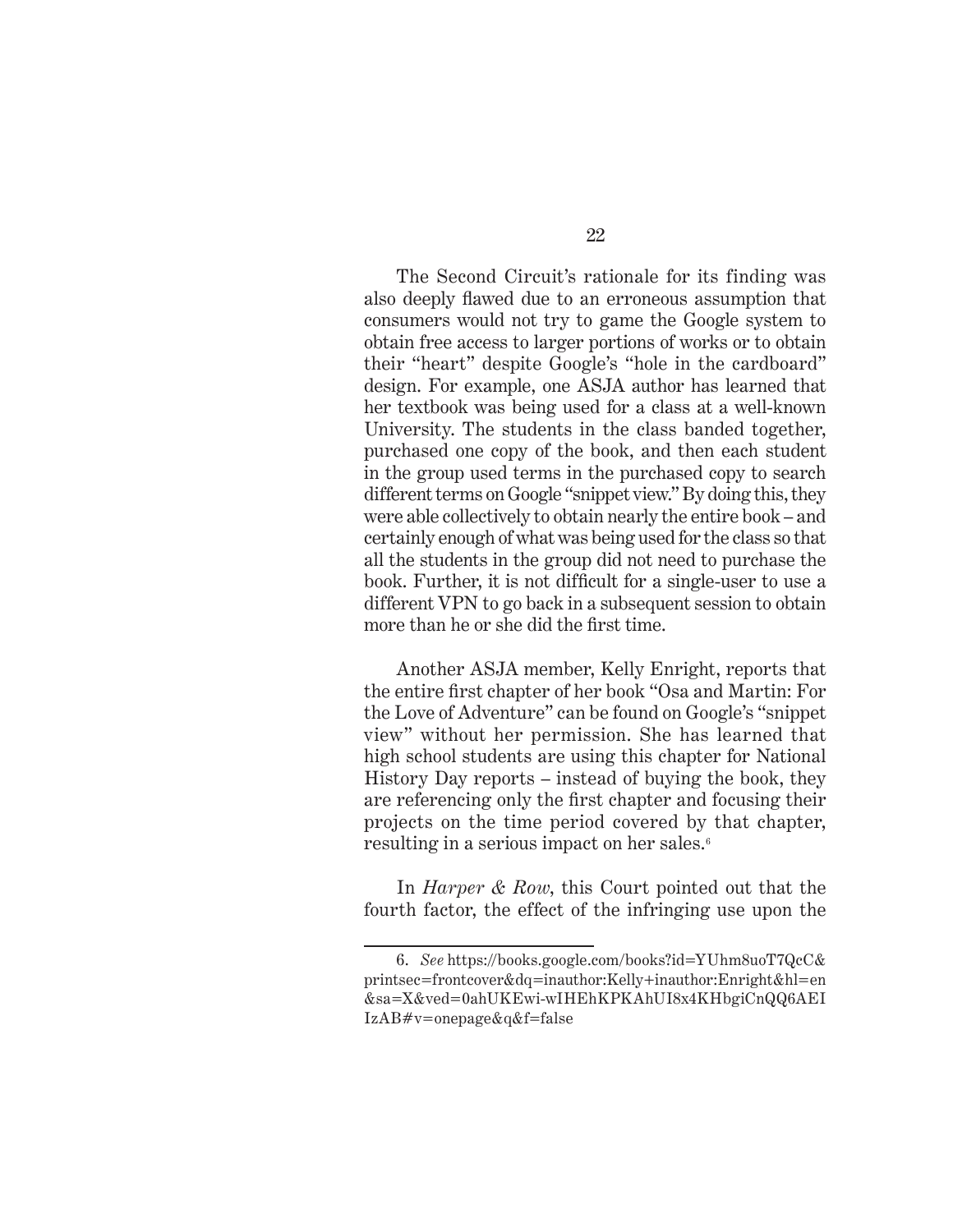The Second Circuit's rationale for its finding was also deeply flawed due to an erroneous assumption that consumers would not try to game the Google system to obtain free access to larger portions of works or to obtain their "heart" despite Google's "hole in the cardboard" design. For example, one ASJA author has learned that her textbook was being used for a class at a well-known University. The students in the class banded together, purchased one copy of the book, and then each student in the group used terms in the purchased copy to search different terms on Google "snippet view." By doing this, they were able collectively to obtain nearly the entire book – and certainly enough of what was being used for the class so that all the students in the group did not need to purchase the book. Further, it is not difficult for a single-user to use a different VPN to go back in a subsequent session to obtain more than he or she did the first time.

Another ASJA member, Kelly Enright, reports that the entire first chapter of her book "Osa and Martin: For the Love of Adventure" can be found on Google's "snippet view" without her permission. She has learned that high school students are using this chapter for National History Day reports – instead of buying the book, they are referencing only the first chapter and focusing their projects on the time period covered by that chapter, resulting in a serious impact on her sales.<sup>6</sup>

In *Harper & Row*, this Court pointed out that the fourth factor, the effect of the infringing use upon the

<sup>6.</sup> *See* https://books.google.com/books?id=YUhm8uoT7QcC& printsec=frontcover&dq=inauthor:Kelly+inauthor:Enright&hl=en &sa=X&ved=0ahUKEwi-wIHEhKPKAhUI8x4KHbgiCnQQ6AEI IzAB#v=onepage&q&f=false